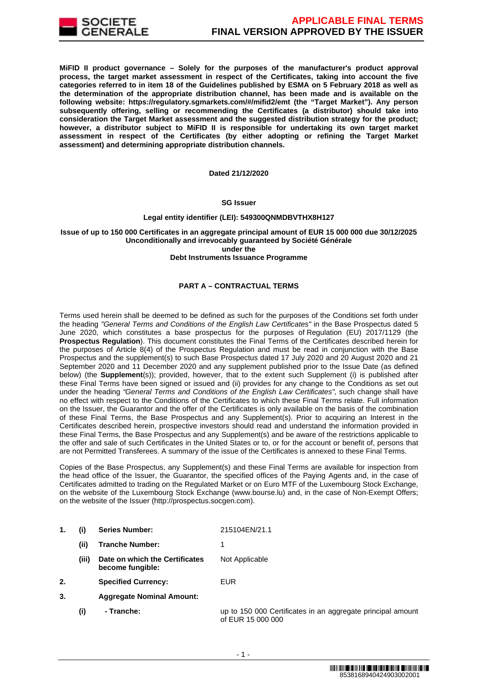

**MiFID II product governance – Solely for the purposes of the manufacturer's product approval process, the target market assessment in respect of the Certificates, taking into account the five categories referred to in item 18 of the Guidelines published by ESMA on 5 February 2018 as well as the determination of the appropriate distribution channel, has been made and is available on the following website: https://regulatory.sgmarkets.com/#/mifid2/emt (the "Target Market"). Any person subsequently offering, selling or recommending the Certificates (a distributor) should take into consideration the Target Market assessment and the suggested distribution strategy for the product; however, a distributor subject to MiFID II is responsible for undertaking its own target market assessment in respect of the Certificates (by either adopting or refining the Target Market assessment) and determining appropriate distribution channels.**

#### **Dated 21/12/2020**

# **SG Issuer**

#### **Legal entity identifier (LEI): 549300QNMDBVTHX8H127**

# **Issue of up to 150 000 Certificates in an aggregate principal amount of EUR 15 000 000 due 30/12/2025 Unconditionally and irrevocably guaranteed by Société Générale under the**

# **Debt Instruments Issuance Programme**

# **PART A – CONTRACTUAL TERMS**

Terms used herein shall be deemed to be defined as such for the purposes of the Conditions set forth under the heading "General Terms and Conditions of the English Law Certificates" in the Base Prospectus dated 5 June 2020, which constitutes a base prospectus for the purposes of Regulation (EU) 2017/1129 (the **Prospectus Regulation**). This document constitutes the Final Terms of the Certificates described herein for the purposes of Article 8(4) of the Prospectus Regulation and must be read in conjunction with the Base Prospectus and the supplement(s) to such Base Prospectus dated 17 July 2020 and 20 August 2020 and 21 September 2020 and 11 December 2020 and any supplement published prior to the Issue Date (as defined below) (the **Supplement**(s)); provided, however, that to the extent such Supplement (i) is published after these Final Terms have been signed or issued and (ii) provides for any change to the Conditions as set out under the heading "General Terms and Conditions of the English Law Certificates", such change shall have no effect with respect to the Conditions of the Certificates to which these Final Terms relate. Full information on the Issuer, the Guarantor and the offer of the Certificates is only available on the basis of the combination of these Final Terms, the Base Prospectus and any Supplement(s). Prior to acquiring an Interest in the Certificates described herein, prospective investors should read and understand the information provided in these Final Terms, the Base Prospectus and any Supplement(s) and be aware of the restrictions applicable to the offer and sale of such Certificates in the United States or to, or for the account or benefit of, persons that are not Permitted Transferees. A summary of the issue of the Certificates is annexed to these Final Terms.

Copies of the Base Prospectus, any Supplement(s) and these Final Terms are available for inspection from the head office of the Issuer, the Guarantor, the specified offices of the Paying Agents and, in the case of Certificates admitted to trading on the Regulated Market or on Euro MTF of the Luxembourg Stock Exchange, on the website of the Luxembourg Stock Exchange (www.bourse.lu) and, in the case of Non-Exempt Offers; on the website of the Issuer (http://prospectus.socgen.com).

- **1. (i) Series Number:** 215104EN/21.1
	- **(ii) Tranche Number:** 1
	- **(iii) Date on which the Certificates become fungible:** Not Applicable
- **2. Specified Currency:** EUR
- **3. Aggregate Nominal Amount:**
	- **(i) Tranche:** up to 150 000 Certificates in an aggregate principal amount of EUR 15 000 000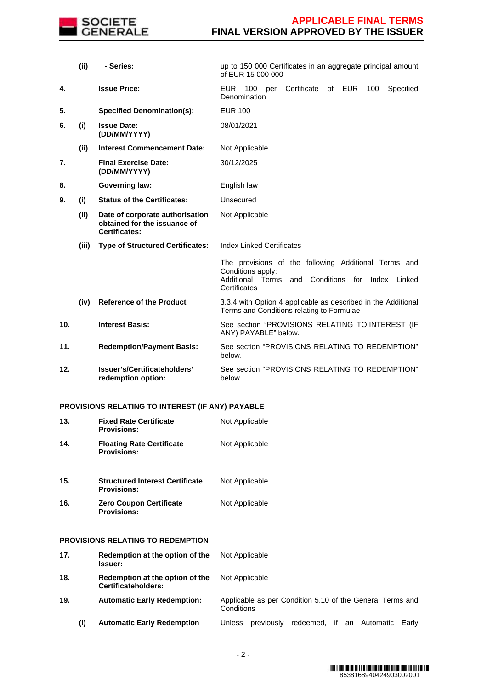

|                 | (i)   | - Series:                                                                               | up to 150 000 Certificates in an aggregate principal amount<br>of EUR 15 000 000                                                                          |
|-----------------|-------|-----------------------------------------------------------------------------------------|-----------------------------------------------------------------------------------------------------------------------------------------------------------|
| 4.              |       | <b>Issue Price:</b>                                                                     | Certificate<br><b>EUR</b><br>100<br>of EUR<br>100<br>Specified<br>per<br>Denomination                                                                     |
| 5.              |       | <b>Specified Denomination(s):</b>                                                       | <b>EUR 100</b>                                                                                                                                            |
| 6.              | (i)   | <b>Issue Date:</b><br>(DD/MM/YYYY)                                                      | 08/01/2021                                                                                                                                                |
|                 | (ii)  | <b>Interest Commencement Date:</b>                                                      | Not Applicable                                                                                                                                            |
| 7.              |       | <b>Final Exercise Date:</b><br>(DD/MM/YYYY)                                             | 30/12/2025                                                                                                                                                |
| 8.              |       | <b>Governing law:</b>                                                                   | English law                                                                                                                                               |
| 9.              | (i)   | <b>Status of the Certificates:</b>                                                      | Unsecured                                                                                                                                                 |
|                 | (ii)  | Date of corporate authorisation<br>obtained for the issuance of<br><b>Certificates:</b> | Not Applicable                                                                                                                                            |
|                 | (iii) | <b>Type of Structured Certificates:</b>                                                 | <b>Index Linked Certificates</b>                                                                                                                          |
|                 |       |                                                                                         | The provisions of the following Additional Terms and<br>Conditions apply:<br>and Conditions<br>Additional Terms<br>for<br>Index<br>Linked<br>Certificates |
|                 | (iv)  | <b>Reference of the Product</b>                                                         | 3.3.4 with Option 4 applicable as described in the Additional<br>Terms and Conditions relating to Formulae                                                |
| 10 <sub>1</sub> |       | <b>Interest Basis:</b>                                                                  | See section "PROVISIONS RELATING TO INTEREST (IF<br>ANY) PAYABLE" below.                                                                                  |
| 11.             |       | <b>Redemption/Payment Basis:</b>                                                        | See section "PROVISIONS RELATING TO REDEMPTION"<br>below.                                                                                                 |
| 12.             |       | Issuer's/Certificateholders'<br>redemption option:                                      | See section "PROVISIONS RELATING TO REDEMPTION"<br>below.                                                                                                 |

# **PROVISIONS RELATING TO INTEREST (IF ANY) PAYABLE**

| 13. | <b>Fixed Rate Certificate</b><br><b>Provisions:</b>          | Not Applicable                                                          |
|-----|--------------------------------------------------------------|-------------------------------------------------------------------------|
| 14. | <b>Floating Rate Certificate</b><br><b>Provisions:</b>       | Not Applicable                                                          |
| 15. | <b>Structured Interest Certificate</b><br><b>Provisions:</b> | Not Applicable                                                          |
| 16. | <b>Zero Coupon Certificate</b><br><b>Provisions:</b>         | Not Applicable                                                          |
|     | PROVISIONS RELATING TO REDEMPTION                            |                                                                         |
| 17. | Redemption at the option of the<br><b>Issuer:</b>            | Not Applicable                                                          |
| 18. | Redemption at the option of the<br>Certificateholders:       | Not Applicable                                                          |
| 19. | <b>Automatic Early Redemption:</b>                           | Applicable as per Condition 5.10 of the General Terms and<br>Conditions |
| (i) | <b>Automatic Early Redemption</b>                            | redeemed, if an Automatic<br>Unless previously<br>Early                 |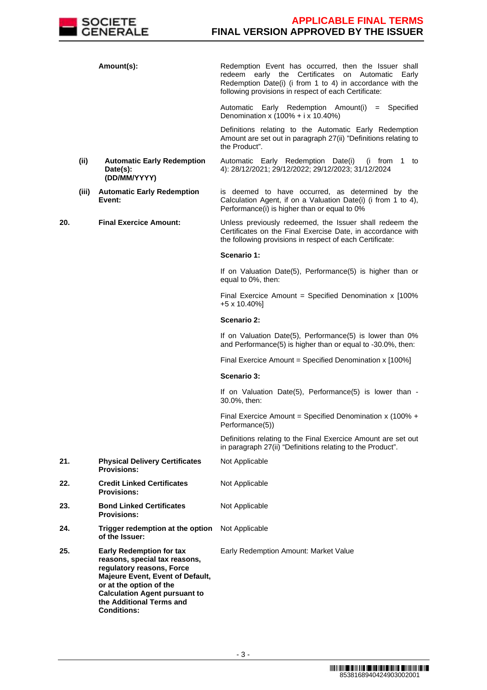

|     |       | Amount(s):                                                                                                                                                                                                                                             | Redemption Event has occurred, then the Issuer shall<br>early the Certificates<br>Automatic<br>redeem<br>on<br>Early<br>Redemption Date(i) (i from 1 to 4) in accordance with the<br>following provisions in respect of each Certificate: |
|-----|-------|--------------------------------------------------------------------------------------------------------------------------------------------------------------------------------------------------------------------------------------------------------|-------------------------------------------------------------------------------------------------------------------------------------------------------------------------------------------------------------------------------------------|
|     |       |                                                                                                                                                                                                                                                        | Automatic Early Redemption Amount(i) = Specified<br>Denomination x $(100\% + i \times 10.40\%)$                                                                                                                                           |
|     |       |                                                                                                                                                                                                                                                        | Definitions relating to the Automatic Early Redemption<br>Amount are set out in paragraph 27(ii) "Definitions relating to<br>the Product".                                                                                                |
|     | (ii)  | <b>Automatic Early Redemption</b><br>Date(s):<br>(DD/MM/YYYY)                                                                                                                                                                                          | Automatic Early Redemption Date(i)<br>(i from 1 to<br>4): 28/12/2021; 29/12/2022; 29/12/2023; 31/12/2024                                                                                                                                  |
|     | (iii) | <b>Automatic Early Redemption</b><br>Event:                                                                                                                                                                                                            | is deemed to have occurred, as determined by the<br>Calculation Agent, if on a Valuation Date(i) (i from 1 to 4),<br>Performance(i) is higher than or equal to 0%                                                                         |
| 20. |       | <b>Final Exercice Amount:</b>                                                                                                                                                                                                                          | Unless previously redeemed, the Issuer shall redeem the<br>Certificates on the Final Exercise Date, in accordance with<br>the following provisions in respect of each Certificate:                                                        |
|     |       |                                                                                                                                                                                                                                                        | Scenario 1:                                                                                                                                                                                                                               |
|     |       |                                                                                                                                                                                                                                                        | If on Valuation Date(5), Performance(5) is higher than or<br>equal to 0%, then:                                                                                                                                                           |
|     |       |                                                                                                                                                                                                                                                        | Final Exercice Amount = Specified Denomination $x$ [100%<br>+5 x 10.40%]                                                                                                                                                                  |
|     |       |                                                                                                                                                                                                                                                        | Scenario 2:                                                                                                                                                                                                                               |
|     |       |                                                                                                                                                                                                                                                        | If on Valuation Date(5), Performance(5) is lower than 0%<br>and Performance(5) is higher than or equal to -30.0%, then:                                                                                                                   |
|     |       |                                                                                                                                                                                                                                                        | Final Exercice Amount = Specified Denomination x [100%]                                                                                                                                                                                   |
|     |       |                                                                                                                                                                                                                                                        | Scenario 3:                                                                                                                                                                                                                               |
|     |       |                                                                                                                                                                                                                                                        | If on Valuation Date(5), Performance(5) is lower than -<br>30.0%, then:                                                                                                                                                                   |
|     |       |                                                                                                                                                                                                                                                        | Final Exercice Amount = Specified Denomination x (100% +<br>Performance(5))                                                                                                                                                               |
|     |       |                                                                                                                                                                                                                                                        | Definitions relating to the Final Exercice Amount are set out<br>in paragraph 27(ii) "Definitions relating to the Product".                                                                                                               |
| 21. |       | <b>Physical Delivery Certificates</b><br><b>Provisions:</b>                                                                                                                                                                                            | Not Applicable                                                                                                                                                                                                                            |
| 22. |       | <b>Credit Linked Certificates</b><br><b>Provisions:</b>                                                                                                                                                                                                | Not Applicable                                                                                                                                                                                                                            |
| 23. |       | <b>Bond Linked Certificates</b><br><b>Provisions:</b>                                                                                                                                                                                                  | Not Applicable                                                                                                                                                                                                                            |
| 24. |       | Trigger redemption at the option<br>of the Issuer:                                                                                                                                                                                                     | Not Applicable                                                                                                                                                                                                                            |
| 25. |       | <b>Early Redemption for tax</b><br>reasons, special tax reasons,<br>regulatory reasons, Force<br>Majeure Event, Event of Default,<br>or at the option of the<br><b>Calculation Agent pursuant to</b><br>the Additional Terms and<br><b>Conditions:</b> | Early Redemption Amount: Market Value                                                                                                                                                                                                     |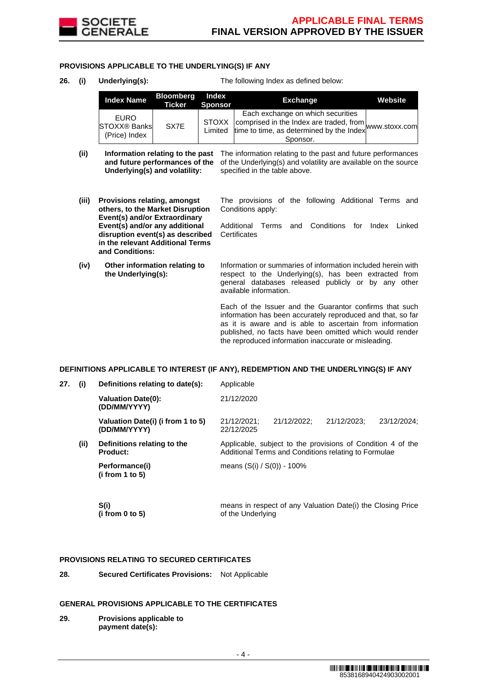

# **PROVISIONS APPLICABLE TO THE UNDERLYING(S) IF ANY**

**26. (i) Underlying(s):** The following Index as defined below:

| <b>Index Name</b>                                   | <b>Bloomberg</b><br><b>Ticker Sponsor</b> | Index | <b>Exchange</b>                                                                                                                                                  | Website |
|-----------------------------------------------------|-------------------------------------------|-------|------------------------------------------------------------------------------------------------------------------------------------------------------------------|---------|
| <b>EURO</b><br><b>STOXX® Banks</b><br>(Price) Index | SX7E                                      |       | Each exchange on which securities<br>STOXX comprised in the Index are traded, from www.stoxx.com<br>Limited time to time, as determined by the Index<br>Sponsor. |         |

- (ii) **Information relating to the past** The information relating to the past and future performances **and future performances of the** of the Underlying(s) and volatility are available on the source **Underlying(s) and volatility:** specified in the table above.
- **(iii) Provisions relating, amongst others, to the Market Disruption Event(s) and/or Extraordinary Event(s) and/or any additional disruption event(s) as described in the relevant Additional Terms and Conditions:**
- **(iv) Other information relating to the Underlying(s):**

The provisions of the following Additional Terms and Conditions apply:

Additional Terms and Conditions for Index Linked **Certificates** 

Information or summaries of information included herein with respect to the Underlying(s), has been extracted from general databases released publicly or by any other available information.

Each of the Issuer and the Guarantor confirms that such information has been accurately reproduced and that, so far as it is aware and is able to ascertain from information published, no facts have been omitted which would render the reproduced information inaccurate or misleading.

# **DEFINITIONS APPLICABLE TO INTEREST (IF ANY), REDEMPTION AND THE UNDERLYING(S) IF ANY**

| 27.                                                                            | (i)  | Definitions relating to date(s):               | Applicable                                                                                                          |             |  |  |
|--------------------------------------------------------------------------------|------|------------------------------------------------|---------------------------------------------------------------------------------------------------------------------|-------------|--|--|
|                                                                                |      | <b>Valuation Date(0):</b><br>(DD/MM/YYYY)      | 21/12/2020                                                                                                          |             |  |  |
| Valuation Date(i) (i from 1 to 5)<br>21/12/2021;<br>(DD/MM/YYYY)<br>22/12/2025 |      | 21/12/2022:                                    | 21/12/2023:                                                                                                         | 23/12/2024: |  |  |
|                                                                                | (ii) | Definitions relating to the<br><b>Product:</b> | Applicable, subject to the provisions of Condition 4 of the<br>Additional Terms and Conditions relating to Formulae |             |  |  |
|                                                                                |      | Performance(i)<br>(i from 1 to 5)              | means $(S(i) / S(0)) - 100\%$                                                                                       |             |  |  |
|                                                                                |      |                                                |                                                                                                                     |             |  |  |

 **S(i) (i from 0 to 5)**  means in respect of any Valuation Date(i) the Closing Price of the Underlying

# **PROVISIONS RELATING TO SECURED CERTIFICATES**

**28. Secured Certificates Provisions:** Not Applicable

# **GENERAL PROVISIONS APPLICABLE TO THE CERTIFICATES**

**29. Provisions applicable to payment date(s):**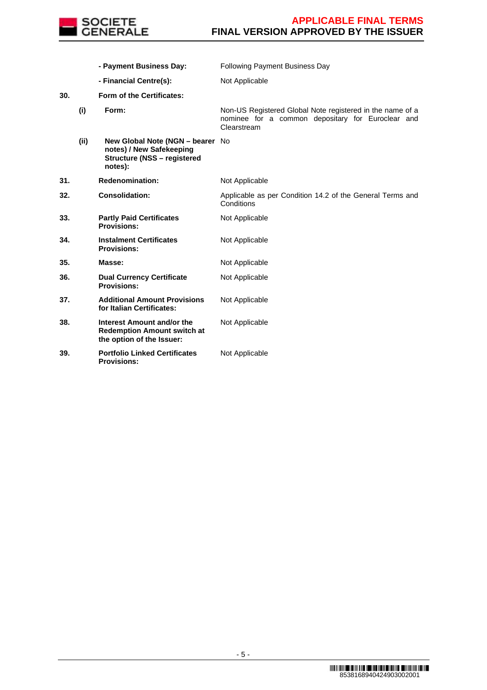

 **- Payment Business Day:** Following Payment Business Day **- Financial Centre(s):** Not Applicable **30. Form of the Certificates: (i) Form:** Non-US Registered Global Note registered in the name of a nominee for a common depositary for Euroclear and Clearstream **(ii) New Global Note (NGN – bearer**  No **notes) / New Safekeeping Structure (NSS – registered notes): 31. Redenomination:** Not Applicable **32. Consolidation:** Applicable as per Condition 14.2 of the General Terms and **Conditions 33. Partly Paid Certificates Provisions:** Not Applicable **34. Instalment Certificates Provisions:** Not Applicable **35. Masse: Not Applicable 36. Dual Currency Certificate Provisions:** Not Applicable **37. Additional Amount Provisions for Italian Certificates:** Not Applicable **38. Interest Amount and/or the Redemption Amount switch at the option of the Issuer:** Not Applicable **39. Portfolio Linked Certificates Provisions:** Not Applicable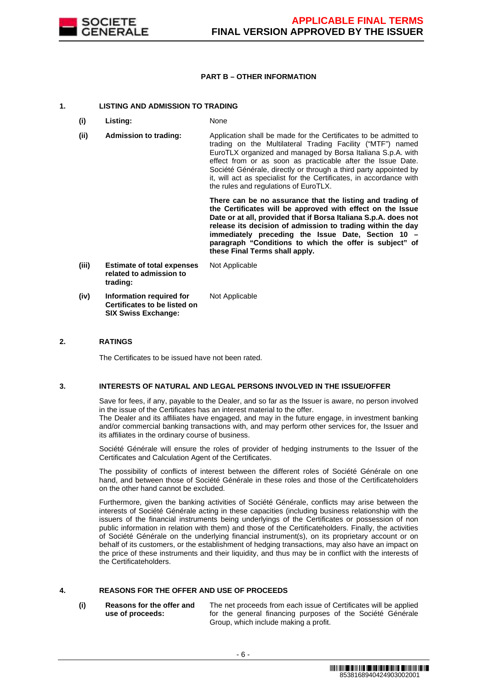

# **PART B – OTHER INFORMATION**

# **1. LISTING AND ADMISSION TO TRADING**

- **(i) Listing:** None
- **(ii) Admission to trading:** Application shall be made for the Certificates to be admitted to trading on the Multilateral Trading Facility ("MTF") named EuroTLX organized and managed by Borsa Italiana S.p.A. with effect from or as soon as practicable after the Issue Date. Société Générale, directly or through a third party appointed by it, will act as specialist for the Certificates, in accordance with the rules and regulations of EuroTLX.

 **There can be no assurance that the listing and trading of the Certificates will be approved with effect on the Issue Date or at all, provided that if Borsa Italiana S.p.A. does not release its decision of admission to trading within the day immediately preceding the Issue Date, Section 10 – paragraph "Conditions to which the offer is subject" of these Final Terms shall apply.**

**(iii) Estimate of total expenses related to admission to trading:** Not Applicable **(iv) Information required for Certificates to be listed on**  Not Applicable

**SIX Swiss Exchange:**

# **2. RATINGS**

The Certificates to be issued have not been rated.

# **3. INTERESTS OF NATURAL AND LEGAL PERSONS INVOLVED IN THE ISSUE/OFFER**

 Save for fees, if any, payable to the Dealer, and so far as the Issuer is aware, no person involved in the issue of the Certificates has an interest material to the offer.

The Dealer and its affiliates have engaged, and may in the future engage, in investment banking and/or commercial banking transactions with, and may perform other services for, the Issuer and its affiliates in the ordinary course of business.

 Société Générale will ensure the roles of provider of hedging instruments to the Issuer of the Certificates and Calculation Agent of the Certificates.

 The possibility of conflicts of interest between the different roles of Société Générale on one hand, and between those of Société Générale in these roles and those of the Certificateholders on the other hand cannot be excluded.

 Furthermore, given the banking activities of Société Générale, conflicts may arise between the interests of Société Générale acting in these capacities (including business relationship with the issuers of the financial instruments being underlyings of the Certificates or possession of non public information in relation with them) and those of the Certificateholders. Finally, the activities of Société Générale on the underlying financial instrument(s), on its proprietary account or on behalf of its customers, or the establishment of hedging transactions, may also have an impact on the price of these instruments and their liquidity, and thus may be in conflict with the interests of the Certificateholders.

# **4. REASONS FOR THE OFFER AND USE OF PROCEEDS**

**(i) Reasons for the offer and use of proceeds:**

The net proceeds from each issue of Certificates will be applied for the general financing purposes of the Société Générale Group, which include making a profit.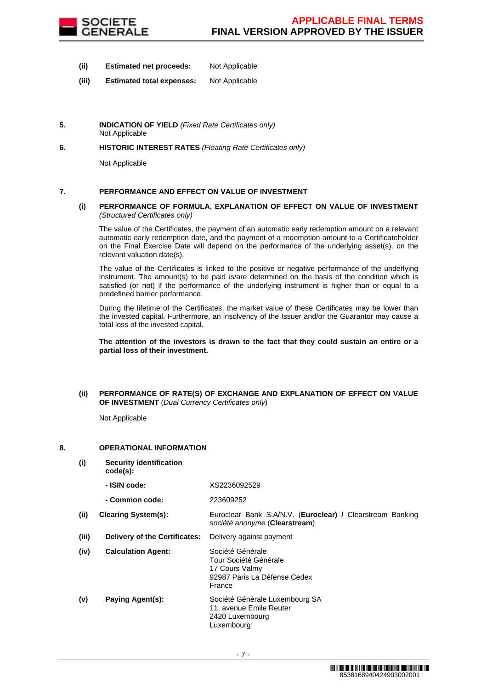

- **(ii) Estimated net proceeds:** Not Applicable
- **(iii) Estimated total expenses:** Not Applicable
- **5. INDICATION OF YIELD** (Fixed Rate Certificates only) Not Applicable
- **6. HISTORIC INTEREST RATES** (Floating Rate Certificates only)

Not Applicable

# **7. PERFORMANCE AND EFFECT ON VALUE OF INVESTMENT**

# **(i) PERFORMANCE OF FORMULA, EXPLANATION OF EFFECT ON VALUE OF INVESTMENT**  (Structured Certificates only)

 The value of the Certificates, the payment of an automatic early redemption amount on a relevant automatic early redemption date, and the payment of a redemption amount to a Certificateholder on the Final Exercise Date will depend on the performance of the underlying asset(s), on the relevant valuation date(s).

 The value of the Certificates is linked to the positive or negative performance of the underlying instrument. The amount(s) to be paid is/are determined on the basis of the condition which is satisfied (or not) if the performance of the underlying instrument is higher than or equal to a predefined barrier performance.

 During the lifetime of the Certificates, the market value of these Certificates may be lower than the invested capital. Furthermore, an insolvency of the Issuer and/or the Guarantor may cause a total loss of the invested capital.

**The attention of the investors is drawn to the fact that they could sustain an entire or a partial loss of their investment.**

# **(ii) PERFORMANCE OF RATE(S) OF EXCHANGE AND EXPLANATION OF EFFECT ON VALUE OF INVESTMENT** (Dual Currency Certificates only)

Not Applicable

# **8. OPERATIONAL INFORMATION**

- **(i) Security identification** 
	- **code(s): - ISIN code:** XS2236092529

|       | - Common code:                | 223609252                                                                                             |
|-------|-------------------------------|-------------------------------------------------------------------------------------------------------|
| (ii)  | <b>Clearing System(s):</b>    | Euroclear Bank S.A/N.V. (Euroclear) / Clearstream Banking<br>société anonyme (Clearstream)            |
| (iii) | Delivery of the Certificates: | Delivery against payment                                                                              |
| (iv)  | <b>Calculation Agent:</b>     | Société Générale<br>Tour Société Générale<br>17 Cours Valmy<br>92987 Paris La Défense Cedex<br>France |
| (v)   | Paying Agent(s):              | Société Générale Luxembourg SA<br>11, avenue Emile Reuter<br>2420 Luxembourg<br>Luxembourg            |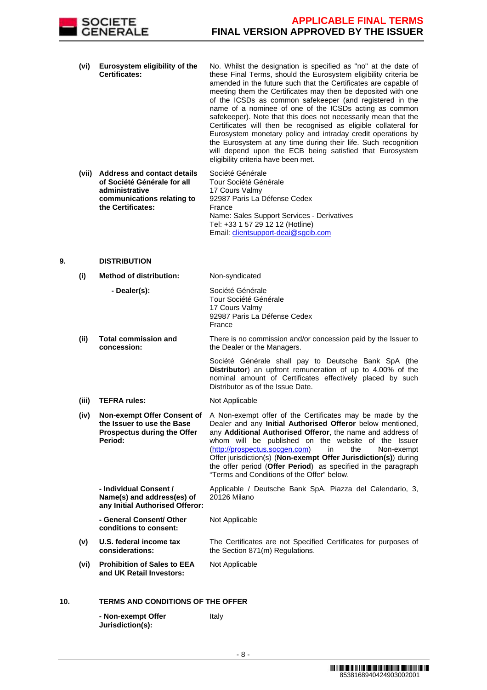

- **(vi) Eurosystem eligibility of the Certificates:** No. Whilst the designation is specified as "no" at the date of these Final Terms, should the Eurosystem eligibility criteria be amended in the future such that the Certificates are capable of meeting them the Certificates may then be deposited with one of the ICSDs as common safekeeper (and registered in the name of a nominee of one of the ICSDs acting as common safekeeper). Note that this does not necessarily mean that the Certificates will then be recognised as eligible collateral for Eurosystem monetary policy and intraday credit operations by the Eurosystem at any time during their life. Such recognition will depend upon the ECB being satisfied that Eurosystem eligibility criteria have been met.
- **(vii) Address and contact details of Société Générale for all administrative communications relating to the Certificates:** Société Générale Tour Société Générale 17 Cours Valmy 92987 Paris La Défense Cedex France Name: Sales Support Services - Derivatives Tel: +33 1 57 29 12 12 (Hotline) Email: clientsupport-deai@sgcib.com

# **9. DISTRIBUTION**

| (i)   | <b>Method of distribution:</b>                                                                             | Non-syndicated                                                                                                                                                                                                                                                                                                                                                                                                                                                                              |
|-------|------------------------------------------------------------------------------------------------------------|---------------------------------------------------------------------------------------------------------------------------------------------------------------------------------------------------------------------------------------------------------------------------------------------------------------------------------------------------------------------------------------------------------------------------------------------------------------------------------------------|
|       | - Dealer(s):                                                                                               | Société Générale<br>Tour Société Générale<br>17 Cours Valmy<br>92987 Paris La Défense Cedex<br>France                                                                                                                                                                                                                                                                                                                                                                                       |
| (ii)  | <b>Total commission and</b><br>concession:                                                                 | There is no commission and/or concession paid by the Issuer to<br>the Dealer or the Managers.                                                                                                                                                                                                                                                                                                                                                                                               |
|       |                                                                                                            | Société Générale shall pay to Deutsche Bank SpA (the<br>Distributor) an upfront remuneration of up to 4.00% of the<br>nominal amount of Certificates effectively placed by such<br>Distributor as of the Issue Date.                                                                                                                                                                                                                                                                        |
| (iii) | <b>TEFRA rules:</b>                                                                                        | Not Applicable                                                                                                                                                                                                                                                                                                                                                                                                                                                                              |
| (iv)  | <b>Non-exempt Offer Consent of</b><br>the Issuer to use the Base<br>Prospectus during the Offer<br>Period: | A Non-exempt offer of the Certificates may be made by the<br>Dealer and any Initial Authorised Offeror below mentioned,<br>any Additional Authorised Offeror, the name and address of<br>whom will be published on the website of the Issuer<br>(http://prospectus.socgen.com)<br>in<br>the<br>Non-exempt<br>Offer jurisdiction(s) (Non-exempt Offer Jurisdiction(s)) during<br>the offer period (Offer Period) as specified in the paragraph<br>"Terms and Conditions of the Offer" below. |
|       | - Individual Consent /<br>Name(s) and address(es) of<br>any Initial Authorised Offeror:                    | Applicable / Deutsche Bank SpA, Piazza del Calendario, 3,<br>20126 Milano                                                                                                                                                                                                                                                                                                                                                                                                                   |
|       | - General Consent/ Other<br>conditions to consent:                                                         | Not Applicable                                                                                                                                                                                                                                                                                                                                                                                                                                                                              |
| (v)   | U.S. federal income tax<br>considerations:                                                                 | The Certificates are not Specified Certificates for purposes of<br>the Section 871(m) Regulations.                                                                                                                                                                                                                                                                                                                                                                                          |
| (vi)  | <b>Prohibition of Sales to EEA</b><br>and UK Retail Investors:                                             | Not Applicable                                                                                                                                                                                                                                                                                                                                                                                                                                                                              |
|       | TEDMO AND OONDITIONS OF THE                                                                                |                                                                                                                                                                                                                                                                                                                                                                                                                                                                                             |

# **10. TERMS AND CONDITIONS OF THE OFFER**

| - Non-exempt Offer | Italy |
|--------------------|-------|
| Jurisdiction(s):   |       |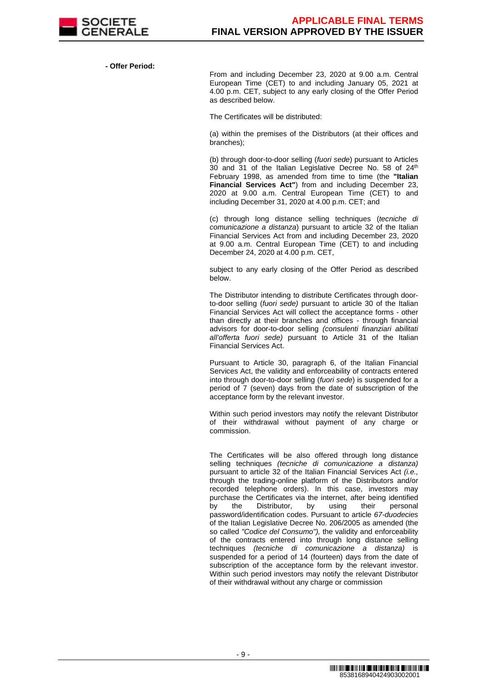

**- Offer Period:**

From and including December 23, 2020 at 9.00 a.m. Central European Time (CET) to and including January 05, 2021 at 4.00 p.m. CET, subject to any early closing of the Offer Period as described below.

The Certificates will be distributed:

(a) within the premises of the Distributors (at their offices and branches);

(b) through door-to-door selling (fuori sede) pursuant to Articles 30 and 31 of the Italian Legislative Decree No. 58 of 24<sup>th</sup> February 1998, as amended from time to time (the **"Italian Financial Services Act"**) from and including December 23, 2020 at 9.00 a.m. Central European Time (CET) to and including December 31, 2020 at 4.00 p.m. CET; and

(c) through long distance selling techniques (tecniche di comunicazione a distanza) pursuant to article 32 of the Italian Financial Services Act from and including December 23, 2020 at 9.00 a.m. Central European Time (CET) to and including December 24, 2020 at 4.00 p.m. CET,

subject to any early closing of the Offer Period as described below.

The Distributor intending to distribute Certificates through doorto-door selling (fuori sede) pursuant to article 30 of the Italian Financial Services Act will collect the acceptance forms - other than directly at their branches and offices - through financial advisors for door-to-door selling (consulenti finanziari abilitati all'offerta fuori sede) pursuant to Article 31 of the Italian Financial Services Act.

Pursuant to Article 30, paragraph 6, of the Italian Financial Services Act, the validity and enforceability of contracts entered into through door-to-door selling (fuori sede) is suspended for a period of 7 (seven) days from the date of subscription of the acceptance form by the relevant investor.

Within such period investors may notify the relevant Distributor of their withdrawal without payment of any charge or commission.

The Certificates will be also offered through long distance selling techniques *(tecniche di comunicazione a distanza)* pursuant to article 32 of the Italian Financial Services Act *(i.e.,* through the trading-online platform of the Distributors and/or recorded telephone orders). In this case, investors may purchase the Certificates via the internet, after being identified<br>by the Distributor, by using their personal by the Distributor, by using their personal password/identification codes. Pursuant to article 67-duodecies of the Italian Legislative Decree No. 206/2005 as amended (the so called "Codice del Consumo"), the validity and enforceability of the contracts entered into through long distance selling techniques (tecniche di comunicazione a distanza) is suspended for a period of 14 (fourteen) days from the date of subscription of the acceptance form by the relevant investor. Within such period investors may notify the relevant Distributor of their withdrawal without any charge or commission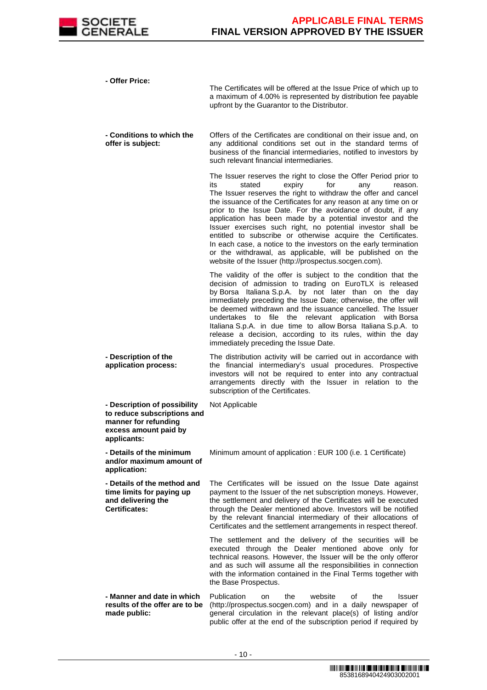

**- Offer Price:**

The Certificates will be offered at the Issue Price of which up to a maximum of 4.00% is represented by distribution fee payable upfront by the Guarantor to the Distributor.

 **- Conditions to which the offer is subject:** Offers of the Certificates are conditional on their issue and, on any additional conditions set out in the standard terms of business of the financial intermediaries, notified to investors by such relevant financial intermediaries.

> The Issuer reserves the right to close the Offer Period prior to<br>its stated expiry for any reason. its stated expiry for any reason. The Issuer reserves the right to withdraw the offer and cancel the issuance of the Certificates for any reason at any time on or prior to the Issue Date. For the avoidance of doubt, if any application has been made by a potential investor and the Issuer exercises such right, no potential investor shall be entitled to subscribe or otherwise acquire the Certificates. In each case, a notice to the investors on the early termination or the withdrawal, as applicable, will be published on the website of the Issuer (http://prospectus.socgen.com).

> The validity of the offer is subject to the condition that the decision of admission to trading on EuroTLX is released by Borsa Italiana S.p.A. by not later than on the day immediately preceding the Issue Date; otherwise, the offer will be deemed withdrawn and the issuance cancelled. The Issuer undertakes to file the relevant application with Borsa Italiana S.p.A. in due time to allow Borsa Italiana S.p.A. to release a decision, according to its rules, within the day immediately preceding the Issue Date.

 **- Description of the application process:** The distribution activity will be carried out in accordance with the financial intermediary's usual procedures. Prospective investors will not be required to enter into any contractual arrangements directly with the Issuer in relation to the subscription of the Certificates.

Not Applicable

 **- Description of possibility to reduce subscriptions and manner for refunding excess amount paid by applicants:**

 **- Details of the minimum and/or maximum amount of** 

**application:**

Minimum amount of application : EUR 100 (i.e. 1 Certificate)

 **- Details of the method and time limits for paying up and delivering the Certificates:** The Certificates will be issued on the Issue Date against payment to the Issuer of the net subscription moneys. However, the settlement and delivery of the Certificates will be executed through the Dealer mentioned above. Investors will be notified by the relevant financial intermediary of their allocations of Certificates and the settlement arrangements in respect thereof.

> The settlement and the delivery of the securities will be executed through the Dealer mentioned above only for technical reasons. However, the Issuer will be the only offeror and as such will assume all the responsibilities in connection with the information contained in the Final Terms together with the Base Prospectus.

 **- Manner and date in which results of the offer are to be made public:** Publication on the website of the Issuer (http://prospectus.socgen.com) and in a daily newspaper of general circulation in the relevant place(s) of listing and/or public offer at the end of the subscription period if required by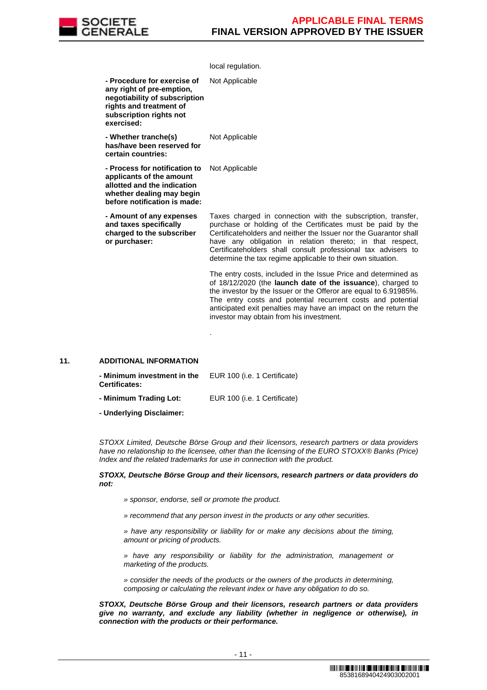

|                                                                                                                                                               | local regulation.                                                                                                                                                                                                                                                                                                                                                                             |
|---------------------------------------------------------------------------------------------------------------------------------------------------------------|-----------------------------------------------------------------------------------------------------------------------------------------------------------------------------------------------------------------------------------------------------------------------------------------------------------------------------------------------------------------------------------------------|
| - Procedure for exercise of<br>any right of pre-emption,<br>negotiability of subscription<br>rights and treatment of<br>subscription rights not<br>exercised: | Not Applicable                                                                                                                                                                                                                                                                                                                                                                                |
| - Whether tranche(s)<br>has/have been reserved for<br>certain countries:                                                                                      | Not Applicable                                                                                                                                                                                                                                                                                                                                                                                |
| - Process for notification to<br>applicants of the amount<br>allotted and the indication<br>whether dealing may begin<br>before notification is made:         | Not Applicable                                                                                                                                                                                                                                                                                                                                                                                |
| - Amount of any expenses<br>and taxes specifically<br>charged to the subscriber<br>or purchaser:                                                              | Taxes charged in connection with the subscription, transfer,<br>purchase or holding of the Certificates must be paid by the<br>Certificateholders and neither the Issuer nor the Guarantor shall<br>have any obligation in relation thereto; in that respect,<br>Certificateholders shall consult professional tax advisers to<br>determine the tax regime applicable to their own situation. |
|                                                                                                                                                               | The entry costs, included in the Issue Price and determined as<br>of 18/12/2020 (the launch date of the issuance), charged to<br>the investor by the Issuer or the Offeror are equal to 6.91985%.<br>The entry costs and potential recurrent costs and potential<br>anticipated exit penalties may have an impact on the return the<br>investor may obtain from his investment.               |
|                                                                                                                                                               |                                                                                                                                                                                                                                                                                                                                                                                               |

# **11. ADDITIONAL INFORMATION**

| - Minimum investment in the<br><b>Certificates:</b> | EUR 100 (i.e. 1 Certificate) |
|-----------------------------------------------------|------------------------------|
| - Minimum Trading Lot:                              | EUR 100 (i.e. 1 Certificate) |
| - Underlying Disclaimer:                            |                              |

 STOXX Limited, Deutsche Börse Group and their licensors, research partners or data providers have no relationship to the licensee, other than the licensing of the EURO STOXX® Banks (Price) Index and the related trademarks for use in connection with the product.

#### **STOXX, Deutsche Börse Group and their licensors, research partners or data providers do not:**

» sponsor, endorse, sell or promote the product.

» recommend that any person invest in the products or any other securities.

» have any responsibility or liability for or make any decisions about the timing, amount or pricing of products.

» have any responsibility or liability for the administration, management or marketing of the products.

» consider the needs of the products or the owners of the products in determining, composing or calculating the relevant index or have any obligation to do so.

**STOXX, Deutsche Börse Group and their licensors, research partners or data providers give no warranty, and exclude any liability (whether in negligence or otherwise), in connection with the products or their performance.**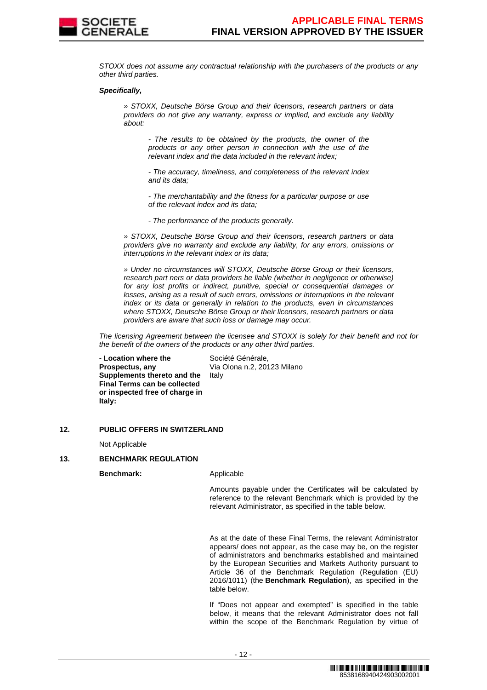

STOXX does not assume any contractual relationship with the purchasers of the products or any other third parties.

#### **Specifically,**

» STOXX, Deutsche Börse Group and their licensors, research partners or data providers do not give any warranty, express or implied, and exclude any liability about:

- The results to be obtained by the products, the owner of the products or any other person in connection with the use of the relevant index and the data included in the relevant index;

- The accuracy, timeliness, and completeness of the relevant index and its data;

- The merchantability and the fitness for a particular purpose or use of the relevant index and its data;

- The performance of the products generally.

» STOXX, Deutsche Börse Group and their licensors, research partners or data providers give no warranty and exclude any liability, for any errors, omissions or interruptions in the relevant index or its data;

» Under no circumstances will STOXX, Deutsche Börse Group or their licensors, research part ners or data providers be liable (whether in negligence or otherwise) for any lost profits or indirect, punitive, special or consequential damages or losses, arising as a result of such errors, omissions or interruptions in the relevant index or its data or generally in relation to the products, even in circumstances where STOXX, Deutsche Börse Group or their licensors, research partners or data providers are aware that such loss or damage may occur.

The licensing Agreement between the licensee and STOXX is solely for their benefit and not for the benefit of the owners of the products or any other third parties.

 **- Location where the Prospectus, any Supplements thereto and the Final Terms can be collected or inspected free of charge in Italy:**

Société Générale, Via Olona n.2, 20123 Milano Italy

# **12. PUBLIC OFFERS IN SWITZERLAND**

Not Applicable

# **13. BENCHMARK REGULATION**

**Benchmark:** Applicable

Amounts payable under the Certificates will be calculated by reference to the relevant Benchmark which is provided by the relevant Administrator, as specified in the table below.

As at the date of these Final Terms, the relevant Administrator appears/ does not appear, as the case may be, on the register of administrators and benchmarks established and maintained by the European Securities and Markets Authority pursuant to Article 36 of the Benchmark Regulation (Regulation (EU) 2016/1011) (the **Benchmark Regulation**), as specified in the table below.

If "Does not appear and exempted" is specified in the table below, it means that the relevant Administrator does not fall within the scope of the Benchmark Regulation by virtue of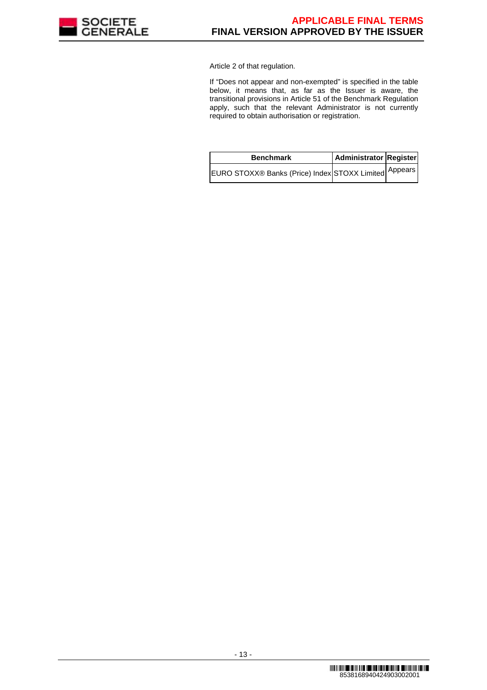

Article 2 of that regulation.

If "Does not appear and non-exempted" is specified in the table below, it means that, as far as the Issuer is aware, the transitional provisions in Article 51 of the Benchmark Regulation apply, such that the relevant Administrator is not currently required to obtain authorisation or registration.

| <b>Benchmark</b>                                       | Administrator Register |  |
|--------------------------------------------------------|------------------------|--|
| IEURO STOXX® Banks (Price) Index STOXX Limited Appears |                        |  |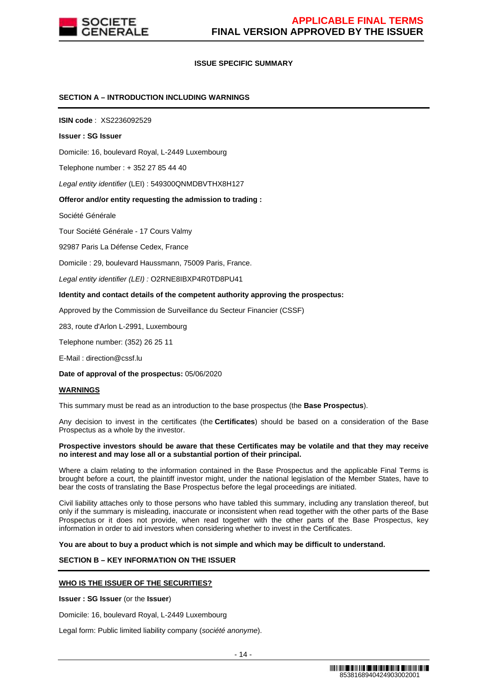

# **ISSUE SPECIFIC SUMMARY**

# **SECTION A – INTRODUCTION INCLUDING WARNINGS**

**ISIN code** : XS2236092529

#### **Issuer : SG Issuer**

Domicile: 16, boulevard Royal, L-2449 Luxembourg

Telephone number : + 352 27 85 44 40

Legal entity identifier (LEI) : 549300QNMDBVTHX8H127

# **Offeror and/or entity requesting the admission to trading :**

Société Générale

Tour Société Générale - 17 Cours Valmy

92987 Paris La Défense Cedex, France

Domicile : 29, boulevard Haussmann, 75009 Paris, France.

Legal entity identifier (LEI) : O2RNE8IBXP4R0TD8PU41

#### **Identity and contact details of the competent authority approving the prospectus:**

Approved by the Commission de Surveillance du Secteur Financier (CSSF)

283, route d'Arlon L-2991, Luxembourg

Telephone number: (352) 26 25 11

E-Mail : direction@cssf.lu

**Date of approval of the prospectus:** 05/06/2020

#### **WARNINGS**

This summary must be read as an introduction to the base prospectus (the **Base Prospectus**).

Any decision to invest in the certificates (the **Certificates**) should be based on a consideration of the Base Prospectus as a whole by the investor.

#### **Prospective investors should be aware that these Certificates may be volatile and that they may receive no interest and may lose all or a substantial portion of their principal.**

Where a claim relating to the information contained in the Base Prospectus and the applicable Final Terms is brought before a court, the plaintiff investor might, under the national legislation of the Member States, have to bear the costs of translating the Base Prospectus before the legal proceedings are initiated.

Civil liability attaches only to those persons who have tabled this summary, including any translation thereof, but only if the summary is misleading, inaccurate or inconsistent when read together with the other parts of the Base Prospectus or it does not provide, when read together with the other parts of the Base Prospectus, key information in order to aid investors when considering whether to invest in the Certificates.

**You are about to buy a product which is not simple and which may be difficult to understand.**

# **SECTION B – KEY INFORMATION ON THE ISSUER**

# **WHO IS THE ISSUER OF THE SECURITIES?**

**Issuer : SG Issuer** (or the **Issuer**)

Domicile: 16, boulevard Royal, L-2449 Luxembourg

Legal form: Public limited liability company (société anonyme).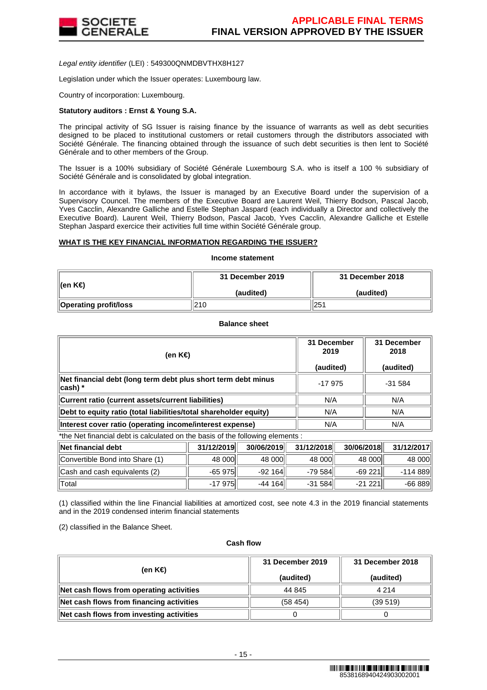

Legal entity identifier (LEI) : 549300QNMDBVTHX8H127

Legislation under which the Issuer operates: Luxembourg law.

Country of incorporation: Luxembourg.

# **Statutory auditors : Ernst & Young S.A.**

The principal activity of SG Issuer is raising finance by the issuance of warrants as well as debt securities designed to be placed to institutional customers or retail customers through the distributors associated with Société Générale. The financing obtained through the issuance of such debt securities is then lent to Société Générale and to other members of the Group.

The Issuer is a 100% subsidiary of Société Générale Luxembourg S.A. who is itself a 100 % subsidiary of Société Générale and is consolidated by global integration.

In accordance with it bylaws, the Issuer is managed by an Executive Board under the supervision of a Supervisory Councel. The members of the Executive Board are Laurent Weil, Thierry Bodson, Pascal Jacob, Yves Cacclin, Alexandre Galliche and Estelle Stephan Jaspard (each individually a Director and collectively the Executive Board). Laurent Weil, Thierry Bodson, Pascal Jacob, Yves Cacclin, Alexandre Galliche et Estelle Stephan Jaspard exercice their activities full time within Société Générale group.

# **WHAT IS THE KEY FINANCIAL INFORMATION REGARDING THE ISSUER?**

# **Income statement**

| ∥(en K€)                     | 31 December 2019 | 31 December 2018 |  |
|------------------------------|------------------|------------------|--|
|                              | (audited)        | (audited)        |  |
| <b>Operating profit/loss</b> | 210              | 251              |  |

**Balance sheet**

| (en K€)                                                                     | 31 December<br>2019<br>(audited) | 31 December<br>2018<br>(audited) |
|-----------------------------------------------------------------------------|----------------------------------|----------------------------------|
| Net financial debt (long term debt plus short term debt minus<br>$ cash) *$ | $-17975$                         | $-31584$                         |
| Current ratio (current assets/current liabilities)                          | N/A                              | N/A                              |
| Debt to equity ratio (total liabilities/total shareholder equity)           | N/A                              | N/A                              |
| Interest cover ratio (operating income/interest expense)                    | N/A                              | N/A                              |

\*the Net financial debt is calculated on the basis of the following elements :

| ∥Net financial debt             | 31/12/2019  | 30/06/2019 | 31/12/2018 | 30/06/2018 | 31/12/2017 |
|---------------------------------|-------------|------------|------------|------------|------------|
| Convertible Bond into Share (1) | 48 000      | 48 000     | 48 000     | 48 000     | 48 000     |
| Cash and cash equivalents (2)   | $-65975$    | $-92164$   | $-79584$   | $-69221$   | -114 889   |
| ⊺Total                          | $-17975$ ll | $-44164$   | $-31584$   | $-21221$   | $-66889$   |

(1) classified within the line Financial liabilities at amortized cost, see note 4.3 in the 2019 financial statements and in the 2019 condensed interim financial statements

(2) classified in the Balance Sheet.

#### **Cash flow**

| (en K€)                                  | 31 December 2019<br>(audited) | 31 December 2018<br>(audited) |
|------------------------------------------|-------------------------------|-------------------------------|
| Net cash flows from operating activities | 44 845                        | 4 2 1 4                       |
| Net cash flows from financing activities | (58454)                       | (39519)                       |
| Net cash flows from investing activities |                               |                               |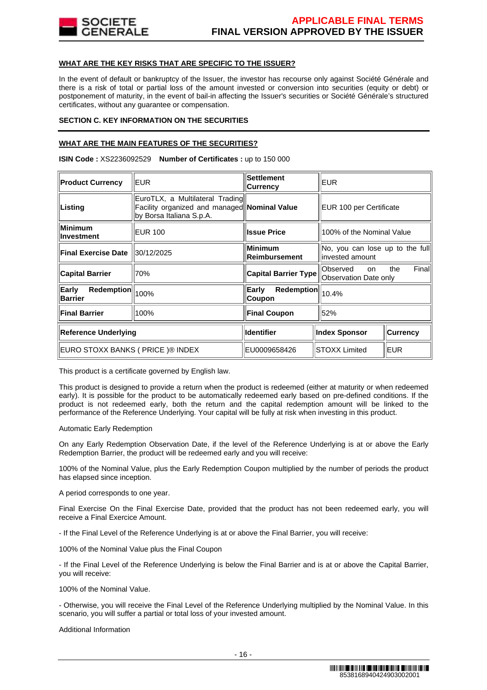

# **WHAT ARE THE KEY RISKS THAT ARE SPECIFIC TO THE ISSUER?**

In the event of default or bankruptcy of the Issuer, the investor has recourse only against Société Générale and there is a risk of total or partial loss of the amount invested or conversion into securities (equity or debt) or postponement of maturity, in the event of bail-in affecting the Issuer's securities or Société Générale's structured certificates, without any guarantee or compensation.

# **SECTION C. KEY INFORMATION ON THE SECURITIES**

# **WHAT ARE THE MAIN FEATURES OF THE SECURITIES?**

**ISIN Code :** XS2236092529 **Number of Certificates :** up to 150 000

| <b>Product Currency</b>               | EUR.                                                                                                        | <b>Settlement</b><br><b>Currency</b>            | <b>EUR</b>                                                      |                 |
|---------------------------------------|-------------------------------------------------------------------------------------------------------------|-------------------------------------------------|-----------------------------------------------------------------|-----------------|
| Listing                               | EuroTLX, a Multilateral Trading<br>Facility organized and managed Nominal Value<br>by Borsa Italiana S.p.A. |                                                 | EUR 100 per Certificate                                         |                 |
| Minimum<br>∣Investment                | <b>EUR 100</b>                                                                                              | <b>Issue Price</b><br>100% of the Nominal Value |                                                                 |                 |
| <b>Final Exercise Date</b>            | 30/12/2025                                                                                                  | <b>Minimum</b><br>Reimbursement                 | No, you can lose up to the full<br>linvested amount             |                 |
| <b>Capital Barrier</b>                | 70%                                                                                                         | <b>Capital Barrier Type</b>                     | Finall<br>Observed<br>the<br><b>on</b><br>Observation Date only |                 |
| Early<br>Redemption<br><b>Barrier</b> | 100%                                                                                                        | Redemption<br>Early<br>Coupon                   | 10.4%                                                           |                 |
| <b>Final Barrier</b>                  | 100%                                                                                                        | <b>Final Coupon</b>                             | 52%                                                             |                 |
| <b>Reference Underlying</b>           |                                                                                                             | <b>Identifier</b>                               | <b>Index Sponsor</b>                                            | <b>Currency</b> |
| EURO STOXX BANKS ( PRICE )® INDEX     |                                                                                                             | EU0009658426                                    | <b>STOXX Limited</b>                                            | EUR             |

This product is a certificate governed by English law.

This product is designed to provide a return when the product is redeemed (either at maturity or when redeemed early). It is possible for the product to be automatically redeemed early based on pre-defined conditions. If the product is not redeemed early, both the return and the capital redemption amount will be linked to the performance of the Reference Underlying. Your capital will be fully at risk when investing in this product.

Automatic Early Redemption

On any Early Redemption Observation Date, if the level of the Reference Underlying is at or above the Early Redemption Barrier, the product will be redeemed early and you will receive:

100% of the Nominal Value, plus the Early Redemption Coupon multiplied by the number of periods the product has elapsed since inception.

A period corresponds to one year.

Final Exercise On the Final Exercise Date, provided that the product has not been redeemed early, you will receive a Final Exercice Amount.

- If the Final Level of the Reference Underlying is at or above the Final Barrier, you will receive:

100% of the Nominal Value plus the Final Coupon

- If the Final Level of the Reference Underlying is below the Final Barrier and is at or above the Capital Barrier, you will receive:

100% of the Nominal Value.

- Otherwise, you will receive the Final Level of the Reference Underlying multiplied by the Nominal Value. In this scenario, you will suffer a partial or total loss of your invested amount.

Additional Information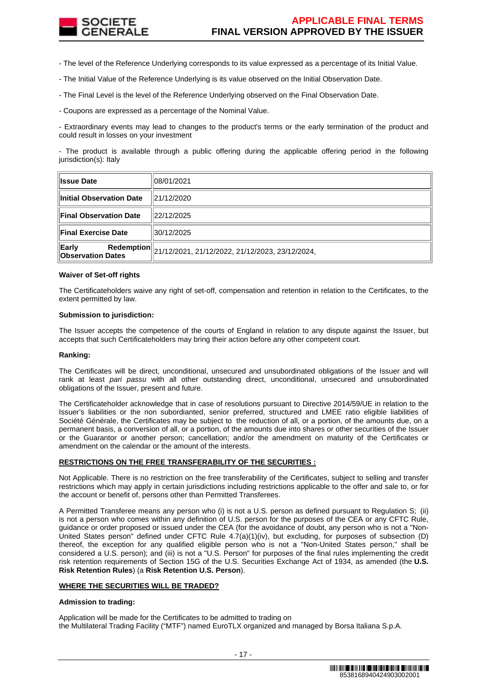

- The level of the Reference Underlying corresponds to its value expressed as a percentage of its Initial Value.

- The Initial Value of the Reference Underlying is its value observed on the Initial Observation Date.

- The Final Level is the level of the Reference Underlying observed on the Final Observation Date.

- Coupons are expressed as a percentage of the Nominal Value.

- Extraordinary events may lead to changes to the product's terms or the early termination of the product and could result in losses on your investment

- The product is available through a public offering during the applicable offering period in the following jurisdiction(s): Italy

| <b>Issue Date</b>                 | 108/01/2021                                                |
|-----------------------------------|------------------------------------------------------------|
| Initial Observation Date          | 121/12/2020                                                |
| <b>Final Observation Date</b>     | 22/12/2025                                                 |
| <b>Final Exercise Date</b>        | 30/12/2025                                                 |
| Early<br><b>Observation Dates</b> | Redemption 21/12/2021, 21/12/2022, 21/12/2023, 23/12/2024, |

# **Waiver of Set-off rights**

The Certificateholders waive any right of set-off, compensation and retention in relation to the Certificates, to the extent permitted by law.

# **Submission to jurisdiction:**

The Issuer accepts the competence of the courts of England in relation to any dispute against the Issuer, but accepts that such Certificateholders may bring their action before any other competent court.

# **Ranking:**

The Certificates will be direct, unconditional, unsecured and unsubordinated obligations of the Issuer and will rank at least pari passu with all other outstanding direct, unconditional, unsecured and unsubordinated obligations of the Issuer, present and future.

The Certificateholder acknowledge that in case of resolutions pursuant to Directive 2014/59/UE in relation to the Issuer's liabilities or the non subordianted, senior preferred, structured and LMEE ratio eligible liabilities of Société Générale, the Certificates may be subject to the reduction of all, or a portion, of the amounts due, on a permanent basis, a conversion of all, or a portion, of the amounts due into shares or other securities of the Issuer or the Guarantor or another person; cancellation; and/or the amendment on maturity of the Certificates or amendment on the calendar or the amount of the interests.

# **RESTRICTIONS ON THE FREE TRANSFERABILITY OF THE SECURITIES :**

Not Applicable. There is no restriction on the free transferability of the Certificates, subject to selling and transfer restrictions which may apply in certain jurisdictions including restrictions applicable to the offer and sale to, or for the account or benefit of, persons other than Permitted Transferees.

A Permitted Transferee means any person who (i) is not a U.S. person as defined pursuant to Regulation S; (ii) is not a person who comes within any definition of U.S. person for the purposes of the CEA or any CFTC Rule, guidance or order proposed or issued under the CEA (for the avoidance of doubt, any person who is not a "Non-United States person" defined under CFTC Rule 4.7(a)(1)(iv), but excluding, for purposes of subsection (D) thereof, the exception for any qualified eligible person who is not a "Non-United States person," shall be considered a U.S. person); and (iii) is not a "U.S. Person" for purposes of the final rules implementing the credit risk retention requirements of Section 15G of the U.S. Securities Exchange Act of 1934, as amended (the **U.S. Risk Retention Rules**) (a **Risk Retention U.S. Person**).

# **WHERE THE SECURITIES WILL BE TRADED?**

# **Admission to trading:**

Application will be made for the Certificates to be admitted to trading on the Multilateral Trading Facility ("MTF") named EuroTLX organized and managed by Borsa Italiana S.p.A.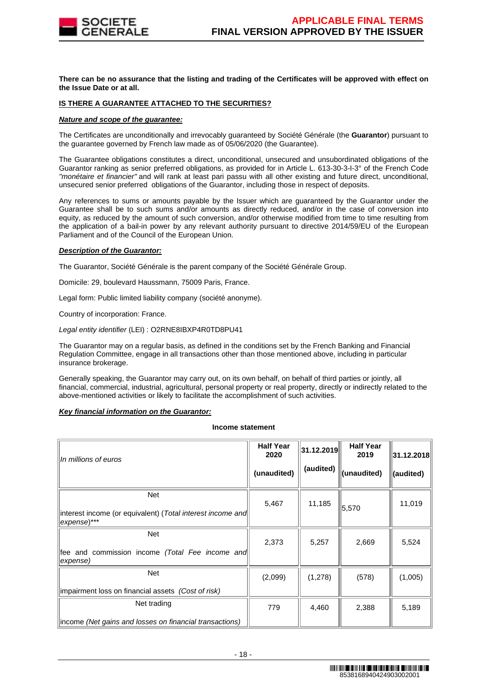

**There can be no assurance that the listing and trading of the Certificates will be approved with effect on the Issue Date or at all.**

# **IS THERE A GUARANTEE ATTACHED TO THE SECURITIES?**

# **Nature and scope of the guarantee:**

The Certificates are unconditionally and irrevocably guaranteed by Société Générale (the **Guarantor**) pursuant to the guarantee governed by French law made as of 05/06/2020 (the Guarantee).

The Guarantee obligations constitutes a direct, unconditional, unsecured and unsubordinated obligations of the Guarantor ranking as senior preferred obligations, as provided for in Article L. 613-30-3-I-3° of the French Code "monétaire et financier" and will rank at least pari passu with all other existing and future direct, unconditional, unsecured senior preferred obligations of the Guarantor, including those in respect of deposits.

Any references to sums or amounts payable by the Issuer which are guaranteed by the Guarantor under the Guarantee shall be to such sums and/or amounts as directly reduced, and/or in the case of conversion into equity, as reduced by the amount of such conversion, and/or otherwise modified from time to time resulting from the application of a bail-in power by any relevant authority pursuant to directive 2014/59/EU of the European Parliament and of the Council of the European Union.

# **Description of the Guarantor:**

The Guarantor, Société Générale is the parent company of the Société Générale Group.

Domicile: 29, boulevard Haussmann, 75009 Paris, France.

Legal form: Public limited liability company (société anonyme).

Country of incorporation: France.

Legal entity identifier (LEI) : O2RNE8IBXP4R0TD8PU41

The Guarantor may on a regular basis, as defined in the conditions set by the French Banking and Financial Regulation Committee, engage in all transactions other than those mentioned above, including in particular insurance brokerage.

Generally speaking, the Guarantor may carry out, on its own behalf, on behalf of third parties or jointly, all financial, commercial, industrial, agricultural, personal property or real property, directly or indirectly related to the above-mentioned activities or likely to facilitate the accomplishment of such activities.

# **Key financial information on the Guarantor:**

#### **Income statement**

| In millions of euros                                                                    | <b>Half Year</b><br>2020<br>(unaudited) | 31.12.2019<br>(audited) | <b>Half Year</b><br>2019<br>(unaudited) | 31.12.2018 <br>(audited) |
|-----------------------------------------------------------------------------------------|-----------------------------------------|-------------------------|-----------------------------------------|--------------------------|
| <b>Net</b><br>interest income (or equivalent) (Total interest income and<br>expense)*** | 5,467                                   | 11,185                  | 5,570                                   | 11,019                   |
| <b>Net</b><br>fee and commission income (Total Fee income and<br>expense)               | 2,373                                   | 5,257                   | 2,669                                   | 5,524                    |
| <b>Net</b><br>impairment loss on financial assets (Cost of risk)                        | (2,099)                                 | (1,278)                 | (578)                                   | (1,005)                  |
| Net trading<br>income (Net gains and losses on financial transactions)                  | 779                                     | 4,460                   | 2,388                                   | 5,189                    |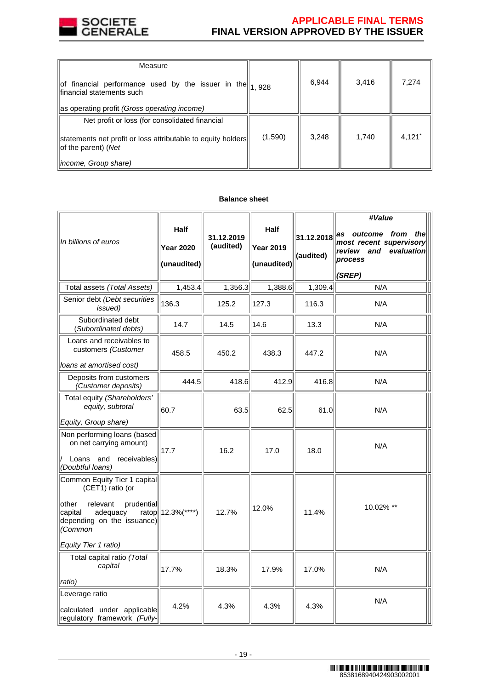

# **APPLICABLE FINAL TERMS FINAL VERSION APPROVED BY THE ISSUER**

| Measure                                                                                                                                                                                                                                                                                                                                      |         |       |       |                      |
|----------------------------------------------------------------------------------------------------------------------------------------------------------------------------------------------------------------------------------------------------------------------------------------------------------------------------------------------|---------|-------|-------|----------------------|
| $\left\ $ of financial performance used by the issuer in the $\left\  \begin{matrix} 1 & 0 & 0 \\ 1 & 0 & 2 & 0 \\ 0 & 0 & 0 & 0 \\ 0 & 0 & 0 & 0 \\ 0 & 0 & 0 & 0 \\ 0 & 0 & 0 & 0 \\ 0 & 0 & 0 & 0 \\ 0 & 0 & 0 & 0 \\ 0 & 0 & 0 & 0 \\ 0 & 0 & 0 & 0 \\ 0 & 0 & 0 & 0 \\ 0 & 0 & 0 & 0 \\ 0 & 0 & 0 & 0 \\ $<br>financial statements such |         | 6,944 | 3,416 | 7,274                |
| as operating profit (Gross operating income)                                                                                                                                                                                                                                                                                                 |         |       |       |                      |
| Net profit or loss (for consolidated financial                                                                                                                                                                                                                                                                                               |         |       |       |                      |
| statements net profit or loss attributable to equity holders<br>$ $ of the parent) (Net                                                                                                                                                                                                                                                      | (1,590) | 3,248 | 1,740 | $4,121$ <sup>*</sup> |
| <i>income, Group share)</i>                                                                                                                                                                                                                                                                                                                  |         |       |       |                      |

# **Balance sheet**

| In billions of euros                                                                                                                                                        | <b>Half</b><br><b>Year 2020</b><br>(unaudited) | 31.12.2019<br>(audited) | Half<br><b>Year 2019</b><br>(unaudited) | 31.12.2018<br>(audited) | #Value<br>as outcome from<br>thel<br>most recent supervisory<br>review and<br>evaluation<br>process<br>(SREP) |
|-----------------------------------------------------------------------------------------------------------------------------------------------------------------------------|------------------------------------------------|-------------------------|-----------------------------------------|-------------------------|---------------------------------------------------------------------------------------------------------------|
| Total assets (Total Assets)                                                                                                                                                 | 1,453.4                                        | 1,356.3                 | 1,388.6                                 | 1,309.4                 | N/A                                                                                                           |
| Senior debt (Debt securities<br>issued)                                                                                                                                     | 136.3                                          | 125.2                   | 127.3                                   | 116.3                   | N/A                                                                                                           |
| Subordinated debt<br>(Subordinated debts)                                                                                                                                   | 14.7                                           | 14.5                    | 14.6                                    | 13.3                    | N/A                                                                                                           |
| Loans and receivables to<br>customers (Customer<br>loans at amortised cost)                                                                                                 | 458.5                                          | 450.2                   | 438.3                                   | 447.2                   | N/A                                                                                                           |
| Deposits from customers<br>(Customer deposits)                                                                                                                              | 444.5                                          | 418.6                   | 412.9                                   | 416.8                   | N/A                                                                                                           |
| Total equity (Shareholders'<br>equity, subtotal                                                                                                                             | 60.7                                           | 63.5                    | 62.5                                    | 61.0                    | N/A                                                                                                           |
| Equity, Group share)                                                                                                                                                        |                                                |                         |                                         |                         |                                                                                                               |
| Non performing loans (based<br>on net carrying amount)<br>receivables)<br>Loans and<br>(Doubtful loans)                                                                     | 17.7                                           | 16.2                    | 17.0                                    | 18.0                    | N/A                                                                                                           |
| Common Equity Tier 1 capital<br>(CET1) ratio (or<br>other<br>relevant<br>prudential<br>capital<br>adequacy<br>depending on the issuance)<br>(Common<br>Equity Tier 1 ratio) | ratop 12.3% (****)                             | 12.7%                   | 12.0%                                   | 11.4%                   | 10.02% **                                                                                                     |
| Total capital ratio (Total<br>capital<br>ratio)                                                                                                                             | 17.7%                                          | 18.3%                   | 17.9%                                   | 17.0%                   | N/A                                                                                                           |
| Leverage ratio<br>calculated under applicable<br>regulatory framework (Fully-                                                                                               | 4.2%                                           | 4.3%                    | 4.3%                                    | 4.3%                    | N/A                                                                                                           |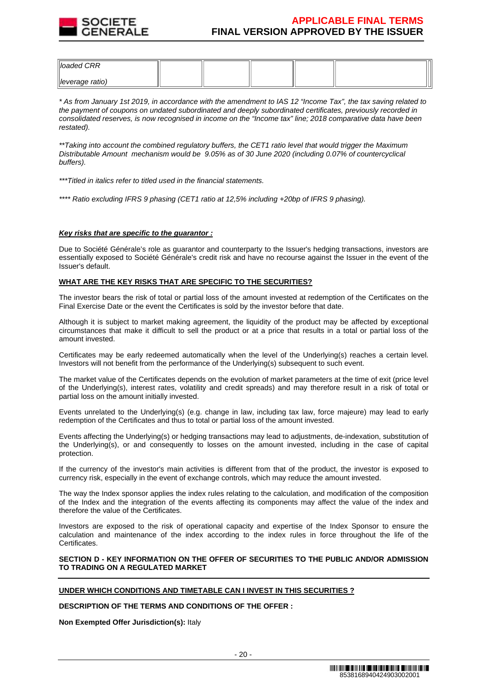

| $\parallel$ loaded CRR      |  |  |  |
|-----------------------------|--|--|--|
| $\parallel$ leverage ratio) |  |  |  |

\* As from January 1st 2019, in accordance with the amendment to IAS 12 "Income Tax", the tax saving related to the payment of coupons on undated subordinated and deeply subordinated certificates, previously recorded in consolidated reserves, is now recognised in income on the "Income tax" line; 2018 comparative data have been restated).

\*\*Taking into account the combined regulatory buffers, the CET1 ratio level that would trigger the Maximum Distributable Amount mechanism would be 9.05% as of 30 June 2020 (including 0.07% of countercyclical buffers).

\*\*\*Titled in italics refer to titled used in the financial statements.

\*\*\*\* Ratio excluding IFRS 9 phasing (CET1 ratio at 12,5% including +20bp of IFRS 9 phasing).

# **Key risks that are specific to the guarantor :**

Due to Société Générale's role as guarantor and counterparty to the Issuer's hedging transactions, investors are essentially exposed to Société Générale's credit risk and have no recourse against the Issuer in the event of the Issuer's default.

# **WHAT ARE THE KEY RISKS THAT ARE SPECIFIC TO THE SECURITIES?**

The investor bears the risk of total or partial loss of the amount invested at redemption of the Certificates on the Final Exercise Date or the event the Certificates is sold by the investor before that date.

Although it is subject to market making agreement, the liquidity of the product may be affected by exceptional circumstances that make it difficult to sell the product or at a price that results in a total or partial loss of the amount invested.

Certificates may be early redeemed automatically when the level of the Underlying(s) reaches a certain level. Investors will not benefit from the performance of the Underlying(s) subsequent to such event.

The market value of the Certificates depends on the evolution of market parameters at the time of exit (price level of the Underlying(s), interest rates, volatility and credit spreads) and may therefore result in a risk of total or partial loss on the amount initially invested.

Events unrelated to the Underlying(s) (e.g. change in law, including tax law, force majeure) may lead to early redemption of the Certificates and thus to total or partial loss of the amount invested.

Events affecting the Underlying(s) or hedging transactions may lead to adjustments, de-indexation, substitution of the Underlying(s), or and consequently to losses on the amount invested, including in the case of capital protection.

If the currency of the investor's main activities is different from that of the product, the investor is exposed to currency risk, especially in the event of exchange controls, which may reduce the amount invested.

The way the Index sponsor applies the index rules relating to the calculation, and modification of the composition of the Index and the integration of the events affecting its components may affect the value of the index and therefore the value of the Certificates.

Investors are exposed to the risk of operational capacity and expertise of the Index Sponsor to ensure the calculation and maintenance of the index according to the index rules in force throughout the life of the Certificates.

# **SECTION D - KEY INFORMATION ON THE OFFER OF SECURITIES TO THE PUBLIC AND/OR ADMISSION TO TRADING ON A REGULATED MARKET**

# **UNDER WHICH CONDITIONS AND TIMETABLE CAN I INVEST IN THIS SECURITIES ?**

**DESCRIPTION OF THE TERMS AND CONDITIONS OF THE OFFER :**

**Non Exempted Offer Jurisdiction(s):** Italy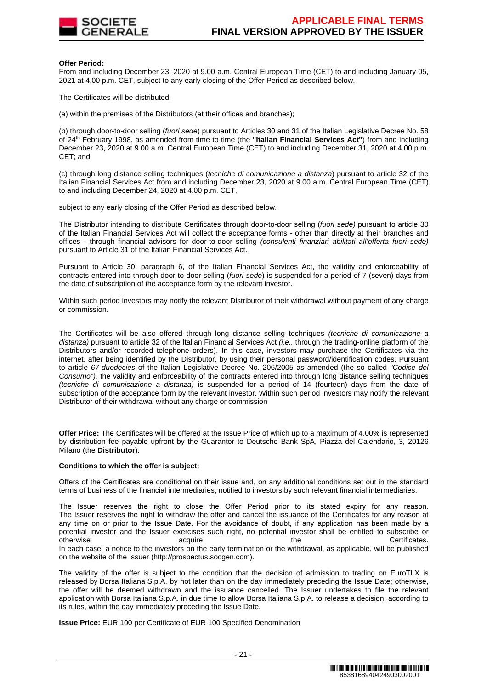

## **Offer Period:**

From and including December 23, 2020 at 9.00 a.m. Central European Time (CET) to and including January 05, 2021 at 4.00 p.m. CET, subject to any early closing of the Offer Period as described below.

The Certificates will be distributed:

(a) within the premises of the Distributors (at their offices and branches);

(b) through door-to-door selling (fuori sede) pursuant to Articles 30 and 31 of the Italian Legislative Decree No. 58 of 24th February 1998, as amended from time to time (the **"Italian Financial Services Act"**) from and including December 23, 2020 at 9.00 a.m. Central European Time (CET) to and including December 31, 2020 at 4.00 p.m. CET; and

(c) through long distance selling techniques (tecniche di comunicazione a distanza) pursuant to article 32 of the Italian Financial Services Act from and including December 23, 2020 at 9.00 a.m. Central European Time (CET) to and including December 24, 2020 at 4.00 p.m. CET,

subject to any early closing of the Offer Period as described below.

The Distributor intending to distribute Certificates through door-to-door selling (fuori sede) pursuant to article 30 of the Italian Financial Services Act will collect the acceptance forms - other than directly at their branches and offices - through financial advisors for door-to-door selling (consulenti finanziari abilitati all'offerta fuori sede) pursuant to Article 31 of the Italian Financial Services Act.

Pursuant to Article 30, paragraph 6, of the Italian Financial Services Act, the validity and enforceability of contracts entered into through door-to-door selling (fuori sede) is suspended for a period of 7 (seven) days from the date of subscription of the acceptance form by the relevant investor.

Within such period investors may notify the relevant Distributor of their withdrawal without payment of any charge or commission.

The Certificates will be also offered through long distance selling techniques (tecniche di comunicazione a distanza) pursuant to article 32 of the Italian Financial Services Act (i.e., through the trading-online platform of the Distributors and/or recorded telephone orders). In this case, investors may purchase the Certificates via the internet, after being identified by the Distributor, by using their personal password/identification codes. Pursuant to article 67-duodecies of the Italian Legislative Decree No. 206/2005 as amended (the so called "Codice del Consumo"), the validity and enforceability of the contracts entered into through long distance selling techniques (tecniche di comunicazione a distanza) is suspended for a period of 14 (fourteen) days from the date of subscription of the acceptance form by the relevant investor. Within such period investors may notify the relevant Distributor of their withdrawal without any charge or commission

**Offer Price:** The Certificates will be offered at the Issue Price of which up to a maximum of 4.00% is represented by distribution fee payable upfront by the Guarantor to Deutsche Bank SpA, Piazza del Calendario, 3, 20126 Milano (the **Distributor**).

# **Conditions to which the offer is subject:**

Offers of the Certificates are conditional on their issue and, on any additional conditions set out in the standard terms of business of the financial intermediaries, notified to investors by such relevant financial intermediaries.

The Issuer reserves the right to close the Offer Period prior to its stated expiry for any reason. The Issuer reserves the right to withdraw the offer and cancel the issuance of the Certificates for any reason at any time on or prior to the Issue Date. For the avoidance of doubt, if any application has been made by a potential investor and the Issuer exercises such right, no potential investor shall be entitled to subscribe or otherwise acquire acquire the the Certificates. In each case, a notice to the investors on the early termination or the withdrawal, as applicable, will be published on the website of the Issuer (http://prospectus.socgen.com).

The validity of the offer is subject to the condition that the decision of admission to trading on EuroTLX is released by Borsa Italiana S.p.A. by not later than on the day immediately preceding the Issue Date; otherwise, the offer will be deemed withdrawn and the issuance cancelled. The Issuer undertakes to file the relevant application with Borsa Italiana S.p.A. in due time to allow Borsa Italiana S.p.A. to release a decision, according to its rules, within the day immediately preceding the Issue Date.

**Issue Price:** EUR 100 per Certificate of EUR 100 Specified Denomination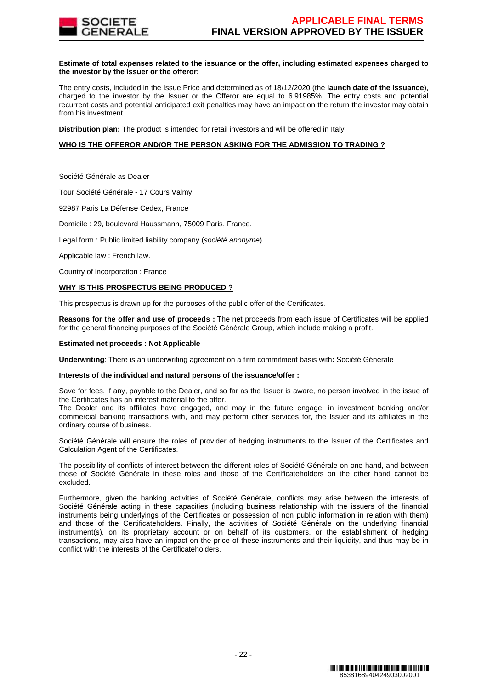

# **Estimate of total expenses related to the issuance or the offer, including estimated expenses charged to the investor by the Issuer or the offeror:**

The entry costs, included in the Issue Price and determined as of 18/12/2020 (the **launch date of the issuance**), charged to the investor by the Issuer or the Offeror are equal to 6.91985%. The entry costs and potential recurrent costs and potential anticipated exit penalties may have an impact on the return the investor may obtain from his investment.

**Distribution plan:** The product is intended for retail investors and will be offered in Italy

# **WHO IS THE OFFEROR AND/OR THE PERSON ASKING FOR THE ADMISSION TO TRADING ?**

Société Générale as Dealer

Tour Société Générale - 17 Cours Valmy

92987 Paris La Défense Cedex, France

Domicile : 29, boulevard Haussmann, 75009 Paris, France.

Legal form : Public limited liability company (société anonyme).

Applicable law : French law.

Country of incorporation : France

# **WHY IS THIS PROSPECTUS BEING PRODUCED ?**

This prospectus is drawn up for the purposes of the public offer of the Certificates.

**Reasons for the offer and use of proceeds :** The net proceeds from each issue of Certificates will be applied for the general financing purposes of the Société Générale Group, which include making a profit.

#### **Estimated net proceeds : Not Applicable**

**Underwriting**: There is an underwriting agreement on a firm commitment basis with**:** Société Générale

#### **Interests of the individual and natural persons of the issuance/offer :**

Save for fees, if any, payable to the Dealer, and so far as the Issuer is aware, no person involved in the issue of the Certificates has an interest material to the offer.

The Dealer and its affiliates have engaged, and may in the future engage, in investment banking and/or commercial banking transactions with, and may perform other services for, the Issuer and its affiliates in the ordinary course of business.

Société Générale will ensure the roles of provider of hedging instruments to the Issuer of the Certificates and Calculation Agent of the Certificates.

The possibility of conflicts of interest between the different roles of Société Générale on one hand, and between those of Société Générale in these roles and those of the Certificateholders on the other hand cannot be excluded.

Furthermore, given the banking activities of Société Générale, conflicts may arise between the interests of Société Générale acting in these capacities (including business relationship with the issuers of the financial instruments being underlyings of the Certificates or possession of non public information in relation with them) and those of the Certificateholders. Finally, the activities of Société Générale on the underlying financial instrument(s), on its proprietary account or on behalf of its customers, or the establishment of hedging transactions, may also have an impact on the price of these instruments and their liquidity, and thus may be in conflict with the interests of the Certificateholders.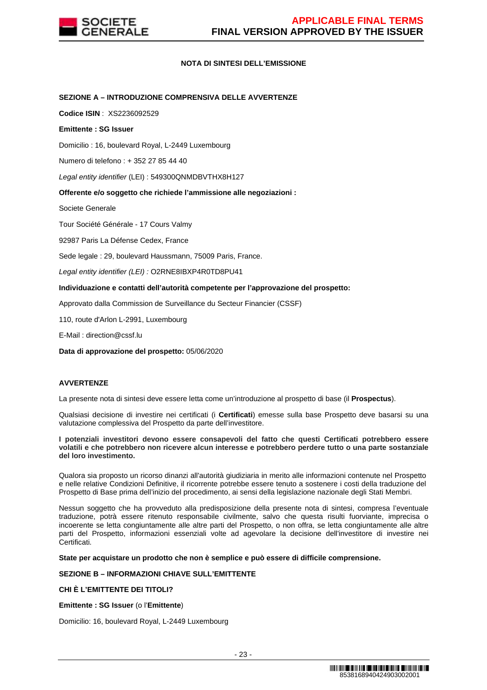

# **NOTA DI SINTESI DELL'EMISSIONE**

# **SEZIONE A – INTRODUZIONE COMPRENSIVA DELLE AVVERTENZE**

**Codice ISIN** : XS2236092529

# **Emittente : SG Issuer**

Domicilio : 16, boulevard Royal, L-2449 Luxembourg

Numero di telefono : + 352 27 85 44 40

Legal entity identifier (LEI) : 549300QNMDBVTHX8H127

# **Offerente e/o soggetto che richiede l'ammissione alle negoziazioni :**

Societe Generale

Tour Société Générale - 17 Cours Valmy

92987 Paris La Défense Cedex, France

Sede legale : 29, boulevard Haussmann, 75009 Paris, France.

Legal entity identifier (LEI) : O2RNE8IBXP4R0TD8PU41

# **Individuazione e contatti dell'autorità competente per l'approvazione del prospetto:**

Approvato dalla Commission de Surveillance du Secteur Financier (CSSF)

110, route d'Arlon L-2991, Luxembourg

E-Mail : direction@cssf.lu

**Data di approvazione del prospetto:** 05/06/2020

# **AVVERTENZE**

La presente nota di sintesi deve essere letta come un'introduzione al prospetto di base (il **Prospectus**).

Qualsiasi decisione di investire nei certificati (i **Certificati**) emesse sulla base Prospetto deve basarsi su una valutazione complessiva del Prospetto da parte dell'investitore.

#### **I potenziali investitori devono essere consapevoli del fatto che questi Certificati potrebbero essere volatili e che potrebbero non ricevere alcun interesse e potrebbero perdere tutto o una parte sostanziale del loro investimento.**

Qualora sia proposto un ricorso dinanzi all'autorità giudiziaria in merito alle informazioni contenute nel Prospetto e nelle relative Condizioni Definitive, il ricorrente potrebbe essere tenuto a sostenere i costi della traduzione del Prospetto di Base prima dell'inizio del procedimento, ai sensi della legislazione nazionale degli Stati Membri.

Nessun soggetto che ha provveduto alla predisposizione della presente nota di sintesi, compresa l'eventuale traduzione, potrà essere ritenuto responsabile civilmente, salvo che questa risulti fuorviante, imprecisa o incoerente se letta congiuntamente alle altre parti del Prospetto, o non offra, se letta congiuntamente alle altre parti del Prospetto, informazioni essenziali volte ad agevolare la decisione dell'investitore di investire nei Certificati.

**State per acquistare un prodotto che non è semplice e può essere di difficile comprensione.**

# **SEZIONE B – INFORMAZIONI CHIAVE SULL'EMITTENTE**

# **CHI È L'EMITTENTE DEI TITOLI?**

**Emittente : SG Issuer** (o l'**Emittente**)

Domicilio: 16, boulevard Royal, L-2449 Luxembourg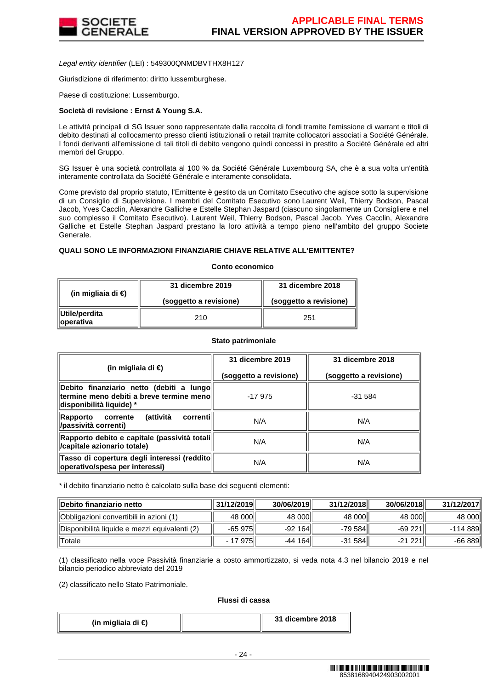

Legal entity identifier (LEI) : 549300QNMDBVTHX8H127

Giurisdizione di riferimento: diritto lussemburghese.

Paese di costituzione: Lussemburgo.

# **Società di revisione : Ernst & Young S.A.**

Le attività principali di SG Issuer sono rappresentate dalla raccolta di fondi tramite l'emissione di warrant e titoli di debito destinati al collocamento presso clienti istituzionali o retail tramite collocatori associati a Société Générale. I fondi derivanti all'emissione di tali titoli di debito vengono quindi concessi in prestito a Société Générale ed altri membri del Gruppo.

SG Issuer è una società controllata al 100 % da Société Générale Luxembourg SA, che è a sua volta un'entità interamente controllata da Société Générale e interamente consolidata.

Come previsto dal proprio statuto, l'Emittente è gestito da un Comitato Esecutivo che agisce sotto la supervisione di un Consiglio di Supervisione. I membri del Comitato Esecutivo sono Laurent Weil, Thierry Bodson, Pascal Jacob, Yves Cacclin, Alexandre Galliche e Estelle Stephan Jaspard (ciascuno singolarmente un Consigliere e nel suo complesso il Comitato Esecutivo). Laurent Weil, Thierry Bodson, Pascal Jacob, Yves Cacclin, Alexandre Galliche et Estelle Stephan Jaspard prestano la loro attività a tempo pieno nell'ambito del gruppo Societe Generale.

# **QUALI SONO LE INFORMAZIONI FINANZIARIE CHIAVE RELATIVE ALL'EMITTENTE?**

# **Conto economico**

| (in migliaia di $\epsilon$ ) | 31 dicembre 2019       | 31 dicembre 2018       |  |
|------------------------------|------------------------|------------------------|--|
|                              | (soggetto a revisione) | (soggetto a revisione) |  |
| Utile/perdita<br>∥operativa  | 210                    | 251                    |  |

#### **Stato patrimoniale**

| (in migliaia di €)                                                                                                 | 31 dicembre 2019       | 31 dicembre 2018       |
|--------------------------------------------------------------------------------------------------------------------|------------------------|------------------------|
|                                                                                                                    | (soggetto a revisione) | (soggetto a revisione) |
| Debito finanziario netto (debiti a lungo<br>termine meno debiti a breve termine meno l<br>disponibilità liquide) * | $-17975$               | $-31.584$              |
| <b>(attività</b><br>correntil<br>Rapporto<br>corrente<br>/passività correnti)                                      | N/A                    | N/A                    |
| Rapporto debito e capitale (passività totali  <br>/capitale azionario totale)                                      | N/A                    | N/A                    |
| Tasso di copertura degli interessi (reddito<br>operativo/spesa per interessi)                                      | N/A                    | N/A                    |

\* il debito finanziario netto è calcolato sulla base dei seguenti elementi:

| ∥Debito finanziario netto                     | 31/12/2019 | 30/06/2019 | 31/12/2018 | 30/06/2018 | 31/12/2017 |
|-----------------------------------------------|------------|------------|------------|------------|------------|
| Obbligazioni convertibili in azioni (1)       | 48 000     | 48 000     | 48 000     | 48 000     | 48 000     |
| Disponibilità liquide e mezzi equivalenti (2) | $-65975$   | -92 164 ll | -79 584    | $-69221$   | -114 889   |
| Totale                                        | - 17 975   | -44 164    | $-31584$   | $-21221$   | $-66889$   |

(1) classificato nella voce Passività finanziarie a costo ammortizzato, si veda nota 4.3 nel bilancio 2019 e nel bilancio periodico abbreviato del 2019

(2) classificato nello Stato Patrimoniale.

# **Flussi di cassa**

| (in migliaia di €) | 31 dicembre 2018 |
|--------------------|------------------|
|--------------------|------------------|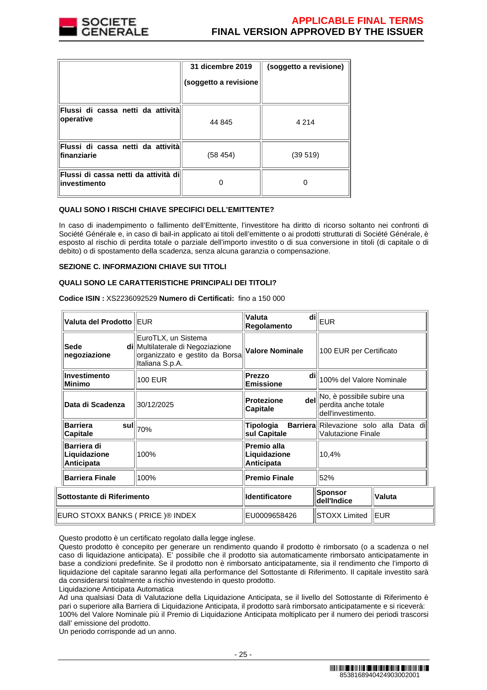

|                                                       | 31 dicembre 2019<br>(soggetto a revisione | (soggetto a revisione) |
|-------------------------------------------------------|-------------------------------------------|------------------------|
| Flussi di cassa netti da attività<br>operative        | 44 845                                    | 4 2 1 4                |
| Flussi di cassa netti da attività<br>finanziarie      | (58 454)                                  | (39519)                |
| Flussi di cassa netti da attività dil<br>investimento |                                           |                        |

# **QUALI SONO I RISCHI CHIAVE SPECIFICI DELL'EMITTENTE?**

In caso di inadempimento o fallimento dell'Emittente, l'investitore ha diritto di ricorso soltanto nei confronti di Société Générale e, in caso di bail-in applicato ai titoli dell'emittente o ai prodotti strutturati di Société Générale, è esposto al rischio di perdita totale o parziale dell'importo investito o di sua conversione in titoli (di capitale o di debito) o di spostamento della scadenza, senza alcuna garanzia o compensazione.

# **SEZIONE C. INFORMAZIONI CHIAVE SUI TITOLI**

# **QUALI SONO LE CARATTERISTICHE PRINCIPALI DEI TITOLI?**

| Valuta del Prodotto IEUR                  |                                                                                                              | Valuta<br>di<br><b>Regolamento</b>        | <b>EUR</b>                                                                 |               |
|-------------------------------------------|--------------------------------------------------------------------------------------------------------------|-------------------------------------------|----------------------------------------------------------------------------|---------------|
| Sede<br>negoziazione                      | EuroTLX, un Sistema<br>di Multilaterale di Negoziazione<br>organizzato e gestito da Borsa<br>Italiana S.p.A. | <b>Valore Nominale</b>                    | 100 EUR per Certificato                                                    |               |
| Investimento<br>Minimo                    | <b>100 EUR</b>                                                                                               | Prezzo<br>dil<br>Emissione                | 100% del Valore Nominale                                                   |               |
| Data di Scadenza                          | 30/12/2025                                                                                                   | dell<br>Protezione<br>Capitale            | No, è possibile subire una<br>perdita anche totale<br>dell'investimento.   |               |
| <b>Barriera</b><br>sul<br>Capitale        | 70%                                                                                                          | Tipologia<br>sul Capitale                 | <b>Barriera</b> Rilevazione solo alla Data di<br><b>Valutazione Finale</b> |               |
| Barriera di<br>Liquidazione<br>Anticipata | 100%                                                                                                         | Premio alla<br>Liquidazione<br>Anticipata | 10,4%                                                                      |               |
| <b>Barriera Finale</b>                    | 100%                                                                                                         | <b>Premio Finale</b>                      | 52%                                                                        |               |
| Sottostante di Riferimento                |                                                                                                              | <b>Identificatore</b>                     | <b>Sponsor</b><br>dell'Indice                                              | <b>Valuta</b> |
| EURO STOXX BANKS ( PRICE )® INDEX         |                                                                                                              | EU0009658426                              | <b>STOXX Limited</b>                                                       | EUR           |

**Codice ISIN :** XS2236092529 **Numero di Certificati:** fino a 150 000

Questo prodotto è un certificato regolato dalla legge inglese.

Questo prodotto è concepito per generare un rendimento quando il prodotto è rimborsato (o a scadenza o nel caso di liquidazione anticipata). E' possibile che il prodotto sia automaticamente rimborsato anticipatamente in base a condizioni predefinite. Se il prodotto non è rimborsato anticipatamente, sia il rendimento che l'importo di liquidazione del capitale saranno legati alla performance del Sottostante di Riferimento. Il capitale investito sarà da considerarsi totalmente a rischio investendo in questo prodotto.

Liquidazione Anticipata Automatica

Ad una qualsiasi Data di Valutazione della Liquidazione Anticipata, se il livello del Sottostante di Riferimento è pari o superiore alla Barriera di Liquidazione Anticipata, il prodotto sarà rimborsato anticipatamente e si riceverà: 100% del Valore Nominale più il Premio di Liquidazione Anticipata moltiplicato per il numero dei periodi trascorsi dall' emissione del prodotto.

Un periodo corrisponde ad un anno.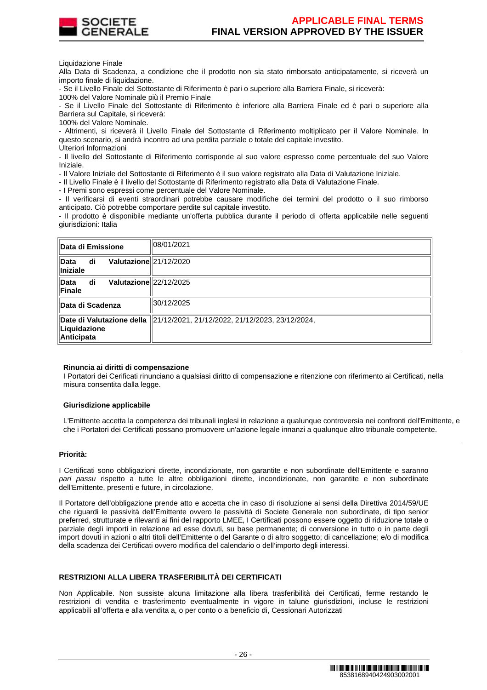

Liquidazione Finale

Alla Data di Scadenza, a condizione che il prodotto non sia stato rimborsato anticipatamente, si riceverà un importo finale di liquidazione.

- Se il Livello Finale del Sottostante di Riferimento è pari o superiore alla Barriera Finale, si riceverà:

100% del Valore Nominale più il Premio Finale

- Se il Livello Finale del Sottostante di Riferimento è inferiore alla Barriera Finale ed è pari o superiore alla Barriera sul Capitale, si riceverà:

100% del Valore Nominale.

- Altrimenti, si riceverà il Livello Finale del Sottostante di Riferimento moltiplicato per il Valore Nominale. In questo scenario, si andrà incontro ad una perdita parziale o totale del capitale investito. Ulteriori Informazioni

- Il livello del Sottostante di Riferimento corrisponde al suo valore espresso come percentuale del suo Valore Iniziale.

- Il Valore Iniziale del Sottostante di Riferimento è il suo valore registrato alla Data di Valutazione Iniziale.

- Il Livello Finale è il livello del Sottostante di Riferimento registrato alla Data di Valutazione Finale.

- I Premi sono espressi come percentuale del Valore Nominale.

- Il verificarsi di eventi straordinari potrebbe causare modifiche dei termini del prodotto o il suo rimborso anticipato. Ciò potrebbe comportare perdite sul capitale investito.

- Il prodotto è disponibile mediante un'offerta pubblica durante il periodo di offerta applicabile nelle seguenti giurisdizioni: Italia

| Data di Emissione                                              | 08/01/2021                                                                 |
|----------------------------------------------------------------|----------------------------------------------------------------------------|
| Valutazione 21/12/2020<br>di<br><b>Data</b><br><b>Iniziale</b> |                                                                            |
| Valutazione 22/12/2025<br>di<br>Data<br>Finale                 |                                                                            |
| Data di Scadenza                                               | 30/12/2025                                                                 |
| Liquidazione<br><b>Anticipata</b>                              | Date di Valutazione della  21/12/2021, 21/12/2022, 21/12/2023, 23/12/2024, |

#### **Rinuncia ai diritti di compensazione**

I Portatori dei Cerificati rinunciano a qualsiasi diritto di compensazione e ritenzione con riferimento ai Certificati, nella misura consentita dalla legge.

#### **Giurisdizione applicabile**

L'Emittente accetta la competenza dei tribunali inglesi in relazione a qualunque controversia nei confronti dell'Emittente, e che i Portatori dei Certificati possano promuovere un'azione legale innanzi a qualunque altro tribunale competente.

# **Priorità:**

I Certificati sono obbligazioni dirette, incondizionate, non garantite e non subordinate dell'Emittente e saranno pari passu rispetto a tutte le altre obbligazioni dirette, incondizionate, non garantite e non subordinate dell'Emittente, presenti e future, in circolazione.

Il Portatore dell'obbligazione prende atto e accetta che in caso di risoluzione ai sensi della Direttiva 2014/59/UE che riguardi le passività dell'Emittente ovvero le passività di Societe Generale non subordinate, di tipo senior preferred, strutturate e rilevanti ai fini del rapporto LMEE, I Certificati possono essere oggetto di riduzione totale o parziale degli importi in relazione ad esse dovuti, su base permanente; di conversione in tutto o in parte degli import dovuti in azioni o altri titoli dell'Emittente o del Garante o di altro soggetto; di cancellazione; e/o di modifica della scadenza dei Certificati ovvero modifica del calendario o dell'importo degli interessi.

# **RESTRIZIONI ALLA LIBERA TRASFERIBILITÀ DEI CERTIFICATI**

Non Applicabile. Non sussiste alcuna limitazione alla libera trasferibilità dei Certificati, ferme restando le restrizioni di vendita e trasferimento eventualmente in vigore in talune giurisdizioni, incluse le restrizioni applicabili all'offerta e alla vendita a, o per conto o a beneficio di, Cessionari Autorizzati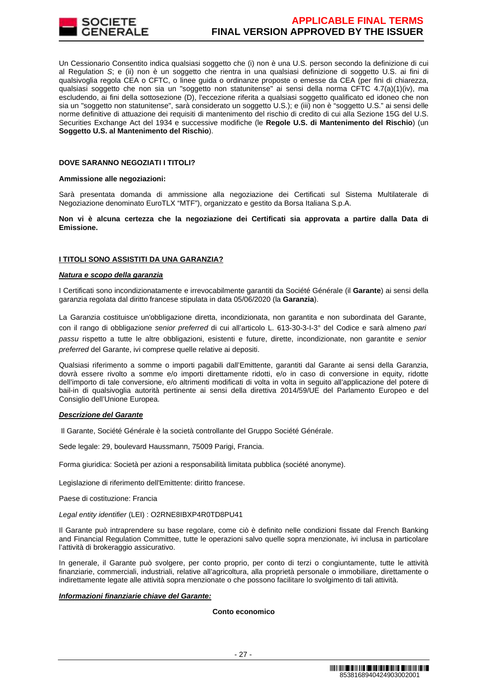

Un Cessionario Consentito indica qualsiasi soggetto che (i) non è una U.S. person secondo la definizione di cui al Regulation S; e (ii) non è un soggetto che rientra in una qualsiasi definizione di soggetto U.S. ai fini di qualsivoglia regola CEA o CFTC, o linee guida o ordinanze proposte o emesse da CEA (per fini di chiarezza, qualsiasi soggetto che non sia un "soggetto non statunitense" ai sensi della norma CFTC 4.7(a)(1)(iv), ma escludendo, ai fini della sottosezione (D), l'eccezione riferita a qualsiasi soggetto qualificato ed idoneo che non sia un "soggetto non statunitense", sarà considerato un soggetto U.S.); e (iii) non è "soggetto U.S." ai sensi delle norme definitive di attuazione dei requisiti di mantenimento del rischio di credito di cui alla Sezione 15G del U.S. Securities Exchange Act del 1934 e successive modifiche (le **Regole U.S. di Mantenimento del Rischio**) (un **Soggetto U.S. al Mantenimento del Rischio**).

# **DOVE SARANNO NEGOZIATI I TITOLI?**

# **Ammissione alle negoziazioni:**

Sarà presentata domanda di ammissione alla negoziazione dei Certificati sul Sistema Multilaterale di Negoziazione denominato EuroTLX "MTF"), organizzato e gestito da Borsa Italiana S.p.A.

**Non vi è alcuna certezza che la negoziazione dei Certificati sia approvata a partire dalla Data di Emissione.**

# **I TITOLI SONO ASSISTITI DA UNA GARANZIA?**

# **Natura e scopo della garanzia**

I Certificati sono incondizionatamente e irrevocabilmente garantiti da Société Générale (il **Garante**) ai sensi della garanzia regolata dal diritto francese stipulata in data 05/06/2020 (la **Garanzia**).

La Garanzia costituisce un'obbligazione diretta, incondizionata, non garantita e non subordinata del Garante, con il rango di obbligazione senior preferred di cui all'articolo L. 613-30-3-I-3° del Codice e sarà almeno pari passu rispetto a tutte le altre obbligazioni, esistenti e future, dirette, incondizionate, non garantite e senior preferred del Garante, ivi comprese quelle relative ai depositi.

Qualsiasi riferimento a somme o importi pagabili dall'Emittente, garantiti dal Garante ai sensi della Garanzia, dovrà essere rivolto a somme e/o importi direttamente ridotti, e/o in caso di conversione in equity, ridotte dell'importo di tale conversione, e/o altrimenti modificati di volta in volta in seguito all'applicazione del potere di bail-in di qualsivoglia autorità pertinente ai sensi della direttiva 2014/59/UE del Parlamento Europeo e del Consiglio dell'Unione Europea.

# **Descrizione del Garante**

Il Garante, Société Générale è la società controllante del Gruppo Société Générale.

Sede legale: 29, boulevard Haussmann, 75009 Parigi, Francia.

Forma giuridica: Società per azioni a responsabilità limitata pubblica (société anonyme).

Legislazione di riferimento dell'Emittente: diritto francese.

Paese di costituzione: Francia

Legal entity identifier (LEI) : O2RNE8IBXP4R0TD8PU41

Il Garante può intraprendere su base regolare, come ciò è definito nelle condizioni fissate dal French Banking and Financial Regulation Committee, tutte le operazioni salvo quelle sopra menzionate, ivi inclusa in particolare l'attività di brokeraggio assicurativo.

In generale, il Garante può svolgere, per conto proprio, per conto di terzi o congiuntamente, tutte le attività finanziarie, commerciali, industriali, relative all'agricoltura, alla proprietà personale o immobiliare, direttamente o indirettamente legate alle attività sopra menzionate o che possono facilitare lo svolgimento di tali attività.

# **Informazioni finanziarie chiave del Garante:**

# **Conto economico**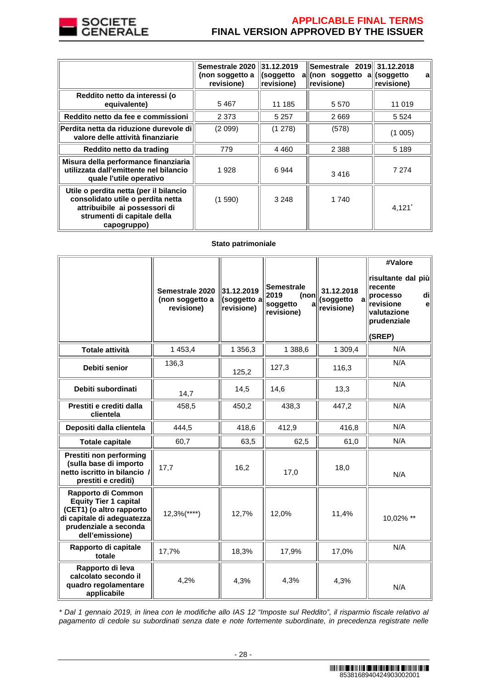

# **APPLICABLE FINAL TERMS FINAL VERSION APPROVED BY THE ISSUER**

|                                                                                                                                                            | Semestrale 2020 31.12.2019<br>(non soggetto a<br>revisione) | (soggetto<br>revisione) | Semestrale 2019 31.12.2018<br>all(non soggetto all<br>revisione) | (soggetto<br>a<br>revisione) |
|------------------------------------------------------------------------------------------------------------------------------------------------------------|-------------------------------------------------------------|-------------------------|------------------------------------------------------------------|------------------------------|
| Reddito netto da interessi (o<br>equivalente)                                                                                                              | 5467                                                        | 11 185                  | 5 5 7 0                                                          | 11 019                       |
| Reddito netto da fee e commissioni                                                                                                                         | 2 3 7 3                                                     | 5 2 5 7                 | 2669                                                             | 5 5 2 4                      |
| Perdita netta da riduzione durevole di<br>valore delle attività finanziarie                                                                                | (2 099)                                                     | (1278)                  | (578)                                                            | (1005)                       |
| Reddito netto da trading                                                                                                                                   | 779                                                         | 4 4 6 0                 | 2 3 8 8                                                          | 5 1 8 9                      |
| Misura della performance finanziaria<br>utilizzata dall'emittente nel bilancio<br>quale l'utile operativo                                                  | 1928                                                        | 6944                    | 3416                                                             | 7 2 7 4                      |
| Utile o perdita netta (per il bilancio<br>consolidato utile o perdita netta<br>attribuibile ai possessori di<br>strumenti di capitale della<br>capogruppo) | (1590)                                                      | 3 2 4 8                 | 1 740                                                            | 4,121'                       |

# **Stato patrimoniale**

|                                                                                                                                                          | Semestrale 2020<br>(non soggetto a<br>revisione) | 31.12.2019<br>(soggetto a<br>revisione) | <b>Semestrale</b><br>2019<br>(non<br>soggetto<br>Я<br>revisione) | 31.12.2018<br>(soggetto<br>revisione) | #Valore<br>risultante dal più<br>recente<br>di<br>processo<br>revisione<br>e<br>valutazione<br>prudenziale<br>(SREP) |
|----------------------------------------------------------------------------------------------------------------------------------------------------------|--------------------------------------------------|-----------------------------------------|------------------------------------------------------------------|---------------------------------------|----------------------------------------------------------------------------------------------------------------------|
| Totale attività                                                                                                                                          | 1 453,4                                          | 1 356,3                                 | 1 388,6                                                          | 1 309,4                               | N/A                                                                                                                  |
| Debiti senior                                                                                                                                            | 136,3                                            | 125,2                                   | 127,3                                                            | 116,3                                 | N/A                                                                                                                  |
| Debiti subordinati                                                                                                                                       | 14,7                                             | 14,5                                    | 14,6                                                             | 13,3                                  | N/A                                                                                                                  |
| Prestiti e crediti dalla<br>clientela                                                                                                                    | 458,5                                            | 450,2                                   | 438,3                                                            | 447,2                                 | N/A                                                                                                                  |
| Depositi dalla clientela                                                                                                                                 | 444,5                                            | 418,6                                   | 412,9                                                            | 416,8                                 | N/A                                                                                                                  |
| <b>Totale capitale</b>                                                                                                                                   | 60,7                                             | 63,5                                    | 62,5                                                             | 61,0                                  | N/A                                                                                                                  |
| Prestiti non performing<br>(sulla base di importo<br>netto iscritto in bilancio /<br>prestiti e crediti)                                                 | 17,7                                             | 16,2                                    | 17,0                                                             | 18,0                                  | N/A                                                                                                                  |
| Rapporto di Common<br><b>Equity Tier 1 capital</b><br>(CET1) (o altro rapporto<br>di capitale di adeguatezza<br>prudenziale a seconda<br>dell'emissione) | $12,3%$ (****)                                   | 12,7%                                   | 12,0%                                                            | 11,4%                                 | 10,02% **                                                                                                            |
| Rapporto di capitale<br>totale                                                                                                                           | 17,7%                                            | 18,3%                                   | 17,9%                                                            | 17,0%                                 | N/A                                                                                                                  |
| Rapporto di leva<br>calcolato secondo il<br>quadro regolamentare<br>applicabile                                                                          | 4,2%                                             | 4,3%                                    | 4,3%                                                             | 4,3%                                  | N/A                                                                                                                  |

\* Dal 1 gennaio 2019, in linea con le modifiche allo IAS 12 "Imposte sul Reddito", il risparmio fiscale relativo al pagamento di cedole su subordinati senza date e note fortemente subordinate, in precedenza registrate nelle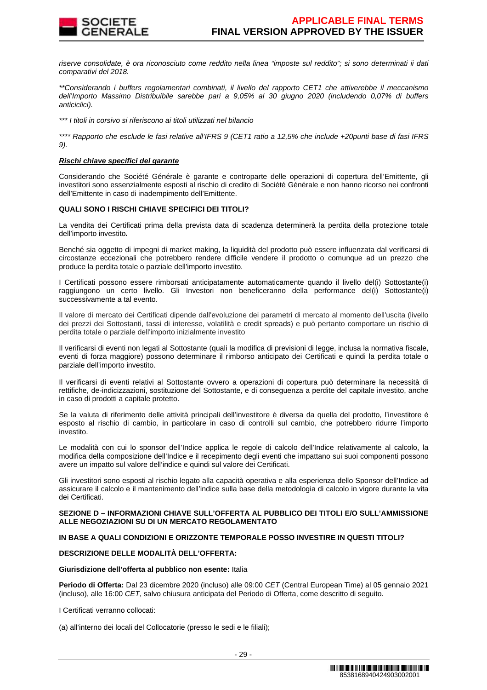

riserve consolidate, è ora riconosciuto come reddito nella linea "imposte sul reddito"; si sono determinati ii dati comparativi del 2018.

\*\*Considerando i buffers regolamentari combinati, il livello del rapporto CET1 che attiverebbe il meccanismo dell'Importo Massimo Distribuibile sarebbe pari a 9,05% al 30 giugno 2020 (includendo 0,07% di buffers anticiclici).

\*\*\* I titoli in corsivo si riferiscono ai titoli utilizzati nel bilancio

\*\*\*\* Rapporto che esclude le fasi relative all'IFRS 9 (CET1 ratio a 12,5% che include +20punti base di fasi IFRS 9).

# **Rischi chiave specifici del garante**

Considerando che Société Générale è garante e controparte delle operazioni di copertura dell'Emittente, gli investitori sono essenzialmente esposti al rischio di credito di Société Générale e non hanno ricorso nei confronti dell'Emittente in caso di inadempimento dell'Emittente.

# **QUALI SONO I RISCHI CHIAVE SPECIFICI DEI TITOLI?**

La vendita dei Certificati prima della prevista data di scadenza determinerà la perdita della protezione totale dell'importo investito**.**

Benché sia oggetto di impegni di market making, la liquidità del prodotto può essere influenzata dal verificarsi di circostanze eccezionali che potrebbero rendere difficile vendere il prodotto o comunque ad un prezzo che produce la perdita totale o parziale dell'importo investito.

I Certificati possono essere rimborsati anticipatamente automaticamente quando il livello del(i) Sottostante(i) raggiungono un certo livello. Gli Investori non beneficeranno della performance del(i) Sottostante(i) successivamente a tal evento.

Il valore di mercato dei Certificati dipende dall'evoluzione dei parametri di mercato al momento dell'uscita (livello dei prezzi dei Sottostanti, tassi di interesse, volatilità e credit spreads) e può pertanto comportare un rischio di perdita totale o parziale dell'importo inizialmente investito

Il verificarsi di eventi non legati al Sottostante (quali la modifica di previsioni di legge, inclusa la normativa fiscale, eventi di forza maggiore) possono determinare il rimborso anticipato dei Certificati e quindi la perdita totale o parziale dell'importo investito.

Il verificarsi di eventi relativi al Sottostante ovvero a operazioni di copertura può determinare la necessità di rettifiche, de-indicizzazioni, sostituzione del Sottostante, e di conseguenza a perdite del capitale investito, anche in caso di prodotti a capitale protetto.

Se la valuta di riferimento delle attività principali dell'investitore è diversa da quella del prodotto, l'investitore è esposto al rischio di cambio, in particolare in caso di controlli sul cambio, che potrebbero ridurre l'importo investito.

Le modalità con cui lo sponsor dell'Indice applica le regole di calcolo dell'Indice relativamente al calcolo, la modifica della composizione dell'Indice e il recepimento degli eventi che impattano sui suoi componenti possono avere un impatto sul valore dell'indice e quindi sul valore dei Certificati.

Gli investitori sono esposti al rischio legato alla capacità operativa e alla esperienza dello Sponsor dell'Indice ad assicurare il calcolo e il mantenimento dell'indice sulla base della metodologia di calcolo in vigore durante la vita dei Certificati.

#### **SEZIONE D – INFORMAZIONI CHIAVE SULL'OFFERTA AL PUBBLICO DEI TITOLI E/O SULL'AMMISSIONE ALLE NEGOZIAZIONI SU DI UN MERCATO REGOLAMENTATO**

# **IN BASE A QUALI CONDIZIONI E ORIZZONTE TEMPORALE POSSO INVESTIRE IN QUESTI TITOLI?**

# **DESCRIZIONE DELLE MODALITÀ DELL'OFFERTA:**

# **Giurisdizione dell'offerta al pubblico non esente:** Italia

**Periodo di Offerta:** Dal 23 dicembre 2020 (incluso) alle 09:00 CET (Central European Time) al 05 gennaio 2021 (incluso), alle 16:00 CET, salvo chiusura anticipata del Periodo di Offerta, come descritto di seguito.

I Certificati verranno collocati:

(a) all'interno dei locali del Collocatorie (presso le sedi e le filiali);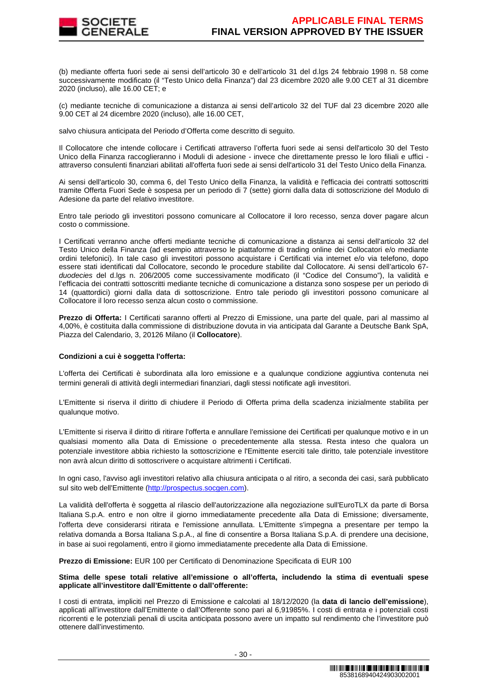

(b) mediante offerta fuori sede ai sensi dell'articolo 30 e dell'articolo 31 del d.lgs 24 febbraio 1998 n. 58 come successivamente modificato (il "Testo Unico della Finanza") dal 23 dicembre 2020 alle 9.00 CET al 31 dicembre 2020 (incluso), alle 16.00 CET; e

(c) mediante tecniche di comunicazione a distanza ai sensi dell'articolo 32 del TUF dal 23 dicembre 2020 alle 9.00 CET al 24 dicembre 2020 (incluso), alle 16.00 CET,

salvo chiusura anticipata del Periodo d'Offerta come descritto di seguito.

Il Collocatore che intende collocare i Certificati attraverso l'offerta fuori sede ai sensi dell'articolo 30 del Testo Unico della Finanza raccoglieranno i Moduli di adesione - invece che direttamente presso le loro filiali e uffici attraverso consulenti finanziari abilitati all'offerta fuori sede ai sensi dell'articolo 31 del Testo Unico della Finanza.

Ai sensi dell'articolo 30, comma 6, del Testo Unico della Finanza, la validità e l'efficacia dei contratti sottoscritti tramite Offerta Fuori Sede è sospesa per un periodo di 7 (sette) giorni dalla data di sottoscrizione del Modulo di Adesione da parte del relativo investitore.

Entro tale periodo gli investitori possono comunicare al Collocatore il loro recesso, senza dover pagare alcun costo o commissione.

I Certificati verranno anche offerti mediante tecniche di comunicazione a distanza ai sensi dell'articolo 32 del Testo Unico della Finanza (ad esempio attraverso le piattaforme di trading online dei Collocatori e/o mediante ordini telefonici). In tale caso gli investitori possono acquistare i Certificati via internet e/o via telefono, dopo essere stati identificati dal Collocatore, secondo le procedure stabilite dal Collocatore. Ai sensi dell'articolo 67 duodecies del d.lgs n. 206/2005 come successivamente modificato (il "Codice del Consumo"), la validità e l'efficacia dei contratti sottoscritti mediante tecniche di comunicazione a distanza sono sospese per un periodo di 14 (quattordici) giorni dalla data di sottoscrizione. Entro tale periodo gli investitori possono comunicare al Collocatore il loro recesso senza alcun costo o commissione.

**Prezzo di Offerta:** I Certificati saranno offerti al Prezzo di Emissione, una parte del quale, pari al massimo al 4,00%, è costituita dalla commissione di distribuzione dovuta in via anticipata dal Garante a Deutsche Bank SpA, Piazza del Calendario, 3, 20126 Milano (il **Collocatore**).

# **Condizioni a cui è soggetta l'offerta:**

L'offerta dei Certificati è subordinata alla loro emissione e a qualunque condizione aggiuntiva contenuta nei termini generali di attività degli intermediari finanziari, dagli stessi notificate agli investitori.

L'Emittente si riserva il diritto di chiudere il Periodo di Offerta prima della scadenza inizialmente stabilita per qualunque motivo.

L'Emittente si riserva il diritto di ritirare l'offerta e annullare l'emissione dei Certificati per qualunque motivo e in un qualsiasi momento alla Data di Emissione o precedentemente alla stessa. Resta inteso che qualora un potenziale investitore abbia richiesto la sottoscrizione e l'Emittente eserciti tale diritto, tale potenziale investitore non avrà alcun diritto di sottoscrivere o acquistare altrimenti i Certificati.

In ogni caso, l'avviso agli investitori relativo alla chiusura anticipata o al ritiro, a seconda dei casi, sarà pubblicato sul sito web dell'Emittente (http://prospectus.socgen.com).

La validità dell'offerta è soggetta al rilascio dell'autorizzazione alla negoziazione sull'EuroTLX da parte di Borsa Italiana S.p.A. entro e non oltre il giorno immediatamente precedente alla Data di Emissione; diversamente, l'offerta deve considerarsi ritirata e l'emissione annullata. L'Emittente s'impegna a presentare per tempo la relativa domanda a Borsa Italiana S.p.A., al fine di consentire a Borsa Italiana S.p.A. di prendere una decisione, in base ai suoi regolamenti, entro il giorno immediatamente precedente alla Data di Emissione.

**Prezzo di Emissione:** EUR 100 per Certificato di Denominazione Specificata di EUR 100

# **Stima delle spese totali relative all'emissione o all'offerta, includendo la stima di eventuali spese applicate all'investitore dall'Emittente o dall'offerente:**

I costi di entrata, impliciti nel Prezzo di Emissione e calcolati al 18/12/2020 (la **data di lancio dell'emissione**), applicati all'investitore dall'Emittente o dall'Offerente sono pari al 6,91985%. I costi di entrata e i potenziali costi ricorrenti e le potenziali penali di uscita anticipata possono avere un impatto sul rendimento che l'investitore può ottenere dall'investimento.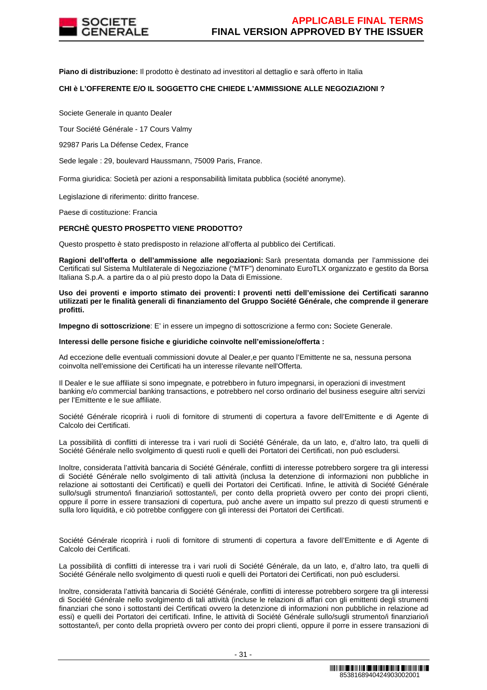

**Piano di distribuzione:** Il prodotto è destinato ad investitori al dettaglio e sarà offerto in Italia

# **CHI è L'OFFERENTE E/O IL SOGGETTO CHE CHIEDE L'AMMISSIONE ALLE NEGOZIAZIONI ?**

Societe Generale in quanto Dealer

Tour Société Générale - 17 Cours Valmy

92987 Paris La Défense Cedex, France

Sede legale : 29, boulevard Haussmann, 75009 Paris, France.

Forma giuridica: Società per azioni a responsabilità limitata pubblica (société anonyme).

Legislazione di riferimento: diritto francese.

Paese di costituzione: Francia

# **PERCHÈ QUESTO PROSPETTO VIENE PRODOTTO?**

Questo prospetto è stato predisposto in relazione all'offerta al pubblico dei Certificati.

**Ragioni dell'offerta o dell'ammissione alle negoziazioni:** Sarà presentata domanda per l'ammissione dei Certificati sul Sistema Multilaterale di Negoziazione ("MTF") denominato EuroTLX organizzato e gestito da Borsa Italiana S.p.A. a partire da o al più presto dopo la Data di Emissione.

**Uso dei proventi e importo stimato dei proventi: I proventi netti dell'emissione dei Certificati saranno utilizzati per le finalità generali di finanziamento del Gruppo Société Générale, che comprende il generare profitti.** 

**Impegno di sottoscrizione**: E' in essere un impegno di sottoscrizione a fermo con**:** Societe Generale.

#### **Interessi delle persone fisiche e giuridiche coinvolte nell'emissione/offerta :**

Ad eccezione delle eventuali commissioni dovute al Dealer,e per quanto l'Emittente ne sa, nessuna persona coinvolta nell'emissione dei Certificati ha un interesse rilevante nell'Offerta.

Il Dealer e le sue affiliate si sono impegnate, e potrebbero in futuro impegnarsi, in operazioni di investment banking e/o commercial banking transactions, e potrebbero nel corso ordinario del business eseguire altri servizi per l'Emittente e le sue affiliate.

Société Générale ricoprirà i ruoli di fornitore di strumenti di copertura a favore dell'Emittente e di Agente di Calcolo dei Certificati.

La possibilità di conflitti di interesse tra i vari ruoli di Société Générale, da un lato, e, d'altro lato, tra quelli di Société Générale nello svolgimento di questi ruoli e quelli dei Portatori dei Certificati, non può escludersi.

Inoltre, considerata l'attività bancaria di Société Générale, conflitti di interesse potrebbero sorgere tra gli interessi di Société Générale nello svolgimento di tali attività (inclusa la detenzione di informazioni non pubbliche in relazione ai sottostanti dei Certificati) e quelli dei Portatori dei Certificati. Infine, le attività di Société Générale sullo/sugli strumento/i finanziario/i sottostante/i, per conto della proprietà ovvero per conto dei propri clienti, oppure il porre in essere transazioni di copertura, può anche avere un impatto sul prezzo di questi strumenti e sulla loro liquidità, e ciò potrebbe configgere con gli interessi dei Portatori dei Certificati.

Société Générale ricoprirà i ruoli di fornitore di strumenti di copertura a favore dell'Emittente e di Agente di Calcolo dei Certificati.

La possibilità di conflitti di interesse tra i vari ruoli di Société Générale, da un lato, e, d'altro lato, tra quelli di Société Générale nello svolgimento di questi ruoli e quelli dei Portatori dei Certificati, non può escludersi.

Inoltre, considerata l'attività bancaria di Société Générale, conflitti di interesse potrebbero sorgere tra gli interessi di Société Générale nello svolgimento di tali attività (incluse le relazioni di affari con gli emittenti degli strumenti finanziari che sono i sottostanti dei Certificati ovvero la detenzione di informazioni non pubbliche in relazione ad essi) e quelli dei Portatori dei certificati. Infine, le attività di Société Générale sullo/sugli strumento/i finanziario/i sottostante/i, per conto della proprietà ovvero per conto dei propri clienti, oppure il porre in essere transazioni di